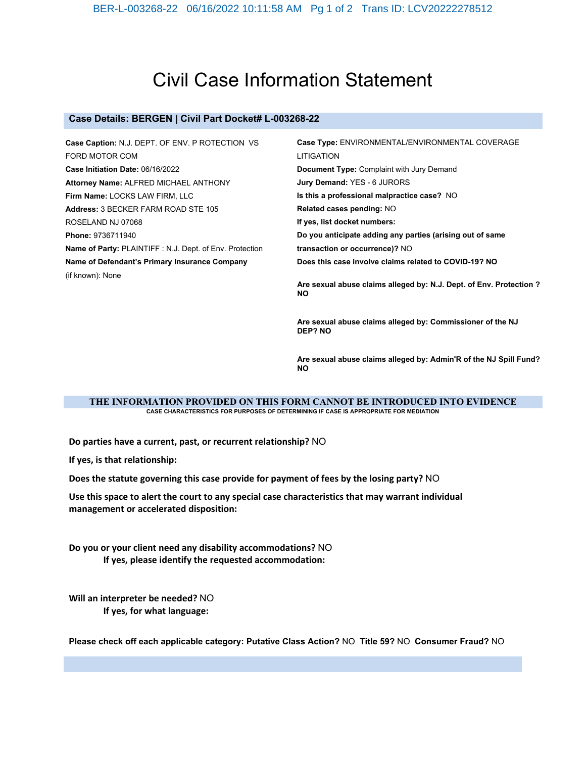# Civil Case Information Statement

#### **Case Details: BERGEN | Civil Part Docket# L-003268-22**

**Case Caption:** N.J. DEPT. OF ENV. P ROTECTION VS FORD MOTOR COM **Case Initiation Date:** 06/16/2022 **Attorney Name:** ALFRED MICHAEL ANTHONY **Firm Name:** LOCKS LAW FIRM, LLC **Address:** 3 BECKER FARM ROAD STE 105 ROSELAND NJ 07068 **Phone:** 9736711940 **Name of Party:** PLAINTIFF : N.J. Dept. of Env. Protection **Name of Defendant's Primary Insurance Company**  (if known): None **Case Type:** ENVIRONMENTAL/ENVIRONMENTAL COVERAGE LITIGATION **Document Type:** Complaint with Jury Demand **Jury Demand:** YES - 6 JURORS **Is this a professional malpractice case?** NO **Related cases pending:** NO **If yes, list docket numbers: Do you anticipate adding any parties (arising out of same transaction or occurrence)?** NO **Does this case involve claims related to COVID-19? NO Are sexual abuse claims alleged by: N.J. Dept. of Env. Protection ? NO**

> **Are sexual abuse claims alleged by: Commissioner of the NJ DEP? NO**

**Are sexual abuse claims alleged by: Admin'R of the NJ Spill Fund? NO**

**THE INFORMATION PROVIDED ON THIS FORM CANNOT BE INTRODUCED INTO EVIDENCE CASE CHARACTERISTICS FOR PURPOSES OF DETERMINING IF CASE IS APPROPRIATE FOR MEDIATION**

**Do parties have a current, past, or recurrent relationship?** NO

**If yes, is that relationship:**

**Does the statute governing this case provide for payment of fees by the losing party?** NO

**Use this space to alert the court to any special case characteristics that may warrant individual management or accelerated disposition:**

**Do you or your client need any disability accommodations?** NO **If yes, please identify the requested accommodation:**

**Will an interpreter be needed?** NO **If yes, for what language:**

**Please check off each applicable category: Putative Class Action?** NO **Title 59?** NO **Consumer Fraud?** NO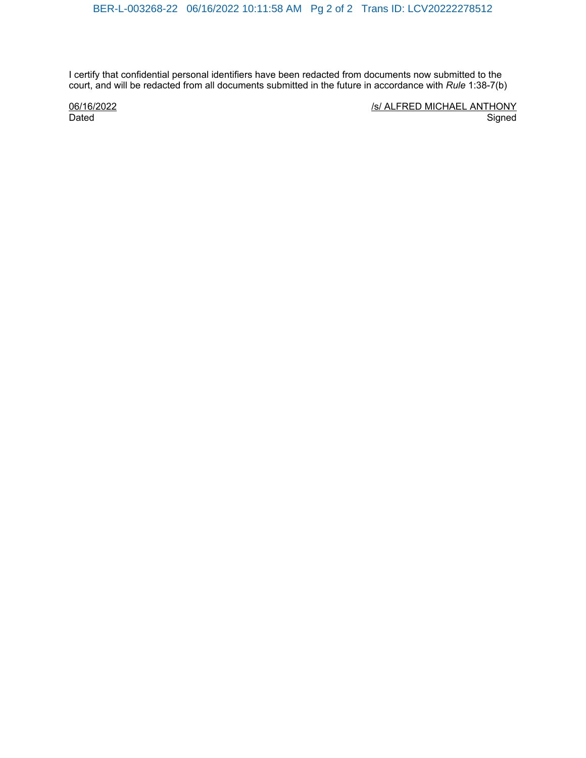I certify that confidential personal identifiers have been redacted from documents now submitted to the court, and will be redacted from all documents submitted in the future in accordance with *Rule* 1:38-7(b)

06/16/2022 Dated

/s/ ALFRED MICHAEL ANTHONY **Signed**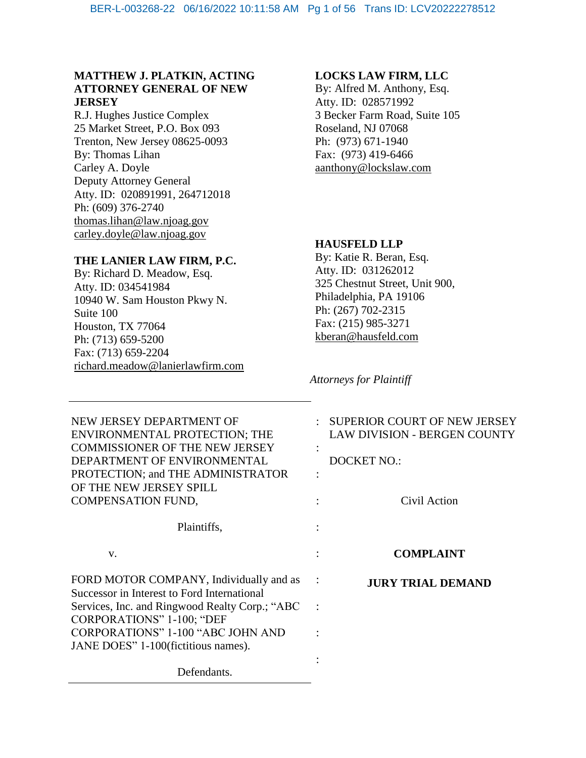## **MATTHEW J. PLATKIN, ACTING ATTORNEY GENERAL OF NEW JERSEY**

R.J. Hughes Justice Complex 25 Market Street, P.O. Box 093 Trenton, New Jersey 08625-0093 By: Thomas Lihan Carley A. Doyle Deputy Attorney General Atty. ID: 020891991, 264712018 Ph: (609) 376-2740 thomas.lihan@law.njoag.gov [carley.doyle@law.njoag.gov](mailto:Lauren.Brick@law.njoag.gov)

## **THE LANIER LAW FIRM, P.C.**

By: Richard D. Meadow, Esq. Atty. ID: 034541984 10940 W. Sam Houston Pkwy N. Suite 100 Houston, TX 77064 Ph: (713) 659-5200 Fax: (713) 659-2204 richard.meadow@lanierlawfirm.com

## **LOCKS LAW FIRM, LLC**

By: Alfred M. Anthony, Esq. Atty. ID: 028571992 3 Becker Farm Road, Suite 105 Roseland, NJ 07068 Ph: (973) 671-1940 Fax: (973) 419-6466 aanthony@lockslaw.com

## **HAUSFELD LLP**

By: Katie R. Beran, Esq. Atty. ID: 031262012 325 Chestnut Street, Unit 900, Philadelphia, PA 19106 Ph: (267) 702-2315 Fax: (215) 985-3271 kberan@hausfeld.com

*Attorneys for Plaintiff*

| NEW JERSEY DEPARTMENT OF<br>ENVIRONMENTAL PROTECTION; THE<br><b>COMMISSIONER OF THE NEW JERSEY</b><br>DEPARTMENT OF ENVIRONMENTAL<br>PROTECTION; and THE ADMINISTRATOR<br>OF THE NEW JERSEY SPILL<br><b>COMPENSATION FUND,</b> |                | SUPERIOR COURT OF NEW JERSEY<br><b>LAW DIVISION - BERGEN COUNTY</b><br><b>DOCKET NO.:</b><br>Civil Action |
|--------------------------------------------------------------------------------------------------------------------------------------------------------------------------------------------------------------------------------|----------------|-----------------------------------------------------------------------------------------------------------|
| Plaintiffs,                                                                                                                                                                                                                    |                |                                                                                                           |
| V.                                                                                                                                                                                                                             |                | <b>COMPLAINT</b>                                                                                          |
| FORD MOTOR COMPANY, Individually and as<br>Successor in Interest to Ford International                                                                                                                                         |                | <b>JURY TRIAL DEMAND</b>                                                                                  |
| Services, Inc. and Ringwood Realty Corp.; "ABC<br><b>CORPORATIONS" 1-100; "DEF</b>                                                                                                                                             | $\ddot{\cdot}$ |                                                                                                           |
| <b>CORPORATIONS" 1-100 "ABC JOHN AND</b><br>JANE DOES" 1-100 (fictitious names).                                                                                                                                               |                |                                                                                                           |
| Defendants.                                                                                                                                                                                                                    |                |                                                                                                           |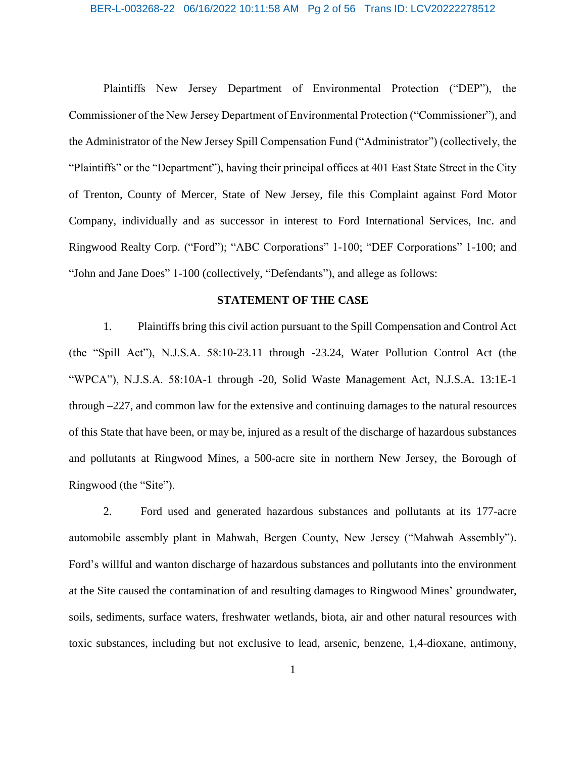## BER-L-003268-22 06/16/2022 10:11:58 AM Pg 2 of 56 Trans ID: LCV20222278512

Plaintiffs New Jersey Department of Environmental Protection ("DEP"), the Commissioner of the New Jersey Department of Environmental Protection ("Commissioner"), and the Administrator of the New Jersey Spill Compensation Fund ("Administrator") (collectively, the "Plaintiffs" or the "Department"), having their principal offices at 401 East State Street in the City of Trenton, County of Mercer, State of New Jersey, file this Complaint against Ford Motor Company, individually and as successor in interest to Ford International Services, Inc. and Ringwood Realty Corp. ("Ford"); "ABC Corporations" 1-100; "DEF Corporations" 1-100; and "John and Jane Does" 1-100 (collectively, "Defendants"), and allege as follows:

## **STATEMENT OF THE CASE**

1. Plaintiffs bring this civil action pursuant to the Spill Compensation and Control Act (the "Spill Act"), N.J.S.A. 58:10-23.11 through -23.24, Water Pollution Control Act (the "WPCA"), N.J.S.A. 58:10A-1 through -20, Solid Waste Management Act, N.J.S.A. 13:1E-1 through –227, and common law for the extensive and continuing damages to the natural resources of this State that have been, or may be, injured as a result of the discharge of hazardous substances and pollutants at Ringwood Mines, a 500-acre site in northern New Jersey, the Borough of Ringwood (the "Site").

2. Ford used and generated hazardous substances and pollutants at its 177-acre automobile assembly plant in Mahwah, Bergen County, New Jersey ("Mahwah Assembly"). Ford's willful and wanton discharge of hazardous substances and pollutants into the environment at the Site caused the contamination of and resulting damages to Ringwood Mines' groundwater, soils, sediments, surface waters, freshwater wetlands, biota, air and other natural resources with toxic substances, including but not exclusive to lead, arsenic, benzene, 1,4-dioxane, antimony,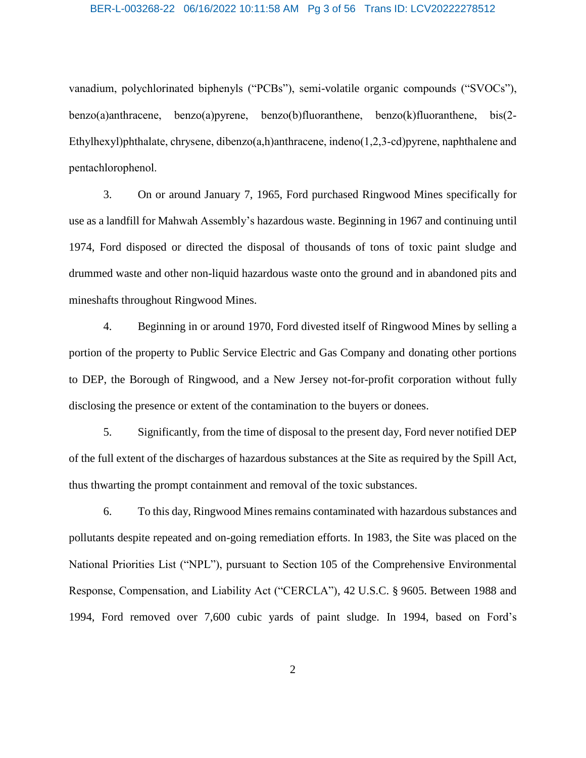## BER-L-003268-22 06/16/2022 10:11:58 AM Pg 3 of 56 Trans ID: LCV20222278512

vanadium, polychlorinated biphenyls ("PCBs"), semi-volatile organic compounds ("SVOCs"), benzo(a)anthracene, benzo(a)pyrene, benzo(b)fluoranthene, benzo(k)fluoranthene, bis(2- Ethylhexyl)phthalate, chrysene, dibenzo(a,h)anthracene, indeno(1,2,3-cd)pyrene, naphthalene and pentachlorophenol.

3. On or around January 7, 1965, Ford purchased Ringwood Mines specifically for use as a landfill for Mahwah Assembly's hazardous waste. Beginning in 1967 and continuing until 1974, Ford disposed or directed the disposal of thousands of tons of toxic paint sludge and drummed waste and other non-liquid hazardous waste onto the ground and in abandoned pits and mineshafts throughout Ringwood Mines.

4. Beginning in or around 1970, Ford divested itself of Ringwood Mines by selling a portion of the property to Public Service Electric and Gas Company and donating other portions to DEP, the Borough of Ringwood, and a New Jersey not-for-profit corporation without fully disclosing the presence or extent of the contamination to the buyers or donees.

5. Significantly, from the time of disposal to the present day, Ford never notified DEP of the full extent of the discharges of hazardous substances at the Site as required by the Spill Act, thus thwarting the prompt containment and removal of the toxic substances.

6. To this day, Ringwood Mines remains contaminated with hazardous substances and pollutants despite repeated and on-going remediation efforts. In 1983, the Site was placed on the National Priorities List ("NPL"), pursuant to Section 105 of the Comprehensive Environmental Response, Compensation, and Liability Act ("CERCLA"), 42 U.S.C. § 9605. Between 1988 and 1994, Ford removed over 7,600 cubic yards of paint sludge. In 1994, based on Ford's

2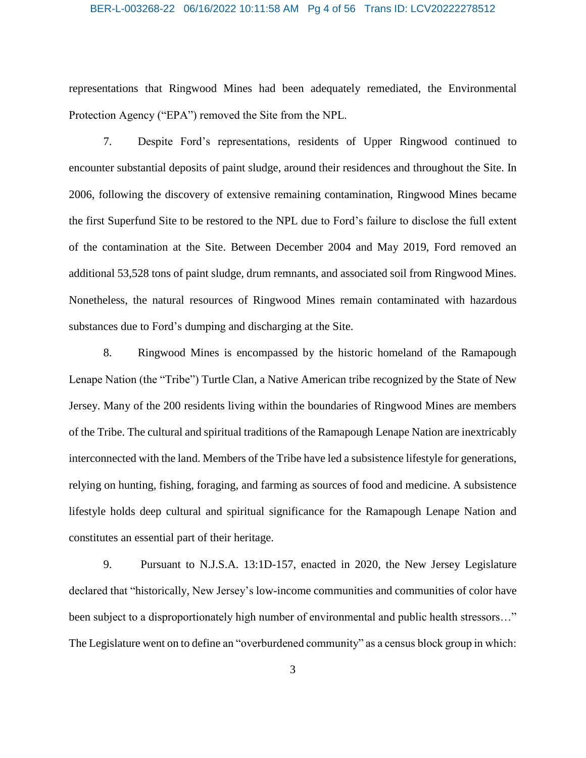## BER-L-003268-22 06/16/2022 10:11:58 AM Pg 4 of 56 Trans ID: LCV20222278512

representations that Ringwood Mines had been adequately remediated, the Environmental Protection Agency ("EPA") removed the Site from the NPL.

7. Despite Ford's representations, residents of Upper Ringwood continued to encounter substantial deposits of paint sludge, around their residences and throughout the Site. In 2006, following the discovery of extensive remaining contamination, Ringwood Mines became the first Superfund Site to be restored to the NPL due to Ford's failure to disclose the full extent of the contamination at the Site. Between December 2004 and May 2019, Ford removed an additional 53,528 tons of paint sludge, drum remnants, and associated soil from Ringwood Mines. Nonetheless, the natural resources of Ringwood Mines remain contaminated with hazardous substances due to Ford's dumping and discharging at the Site.

8. Ringwood Mines is encompassed by the historic homeland of the Ramapough Lenape Nation (the "Tribe") Turtle Clan, a Native American tribe recognized by the State of New Jersey. Many of the 200 residents living within the boundaries of Ringwood Mines are members of the Tribe. The cultural and spiritual traditions of the Ramapough Lenape Nation are inextricably interconnected with the land. Members of the Tribe have led a subsistence lifestyle for generations, relying on hunting, fishing, foraging, and farming as sources of food and medicine. A subsistence lifestyle holds deep cultural and spiritual significance for the Ramapough Lenape Nation and constitutes an essential part of their heritage.

9. Pursuant to N.J.S.A. 13:1D-157, enacted in 2020, the New Jersey Legislature declared that "historically, New Jersey's low-income communities and communities of color have been subject to a disproportionately high number of environmental and public health stressors..." The Legislature went on to define an "overburdened community" as a census block group in which: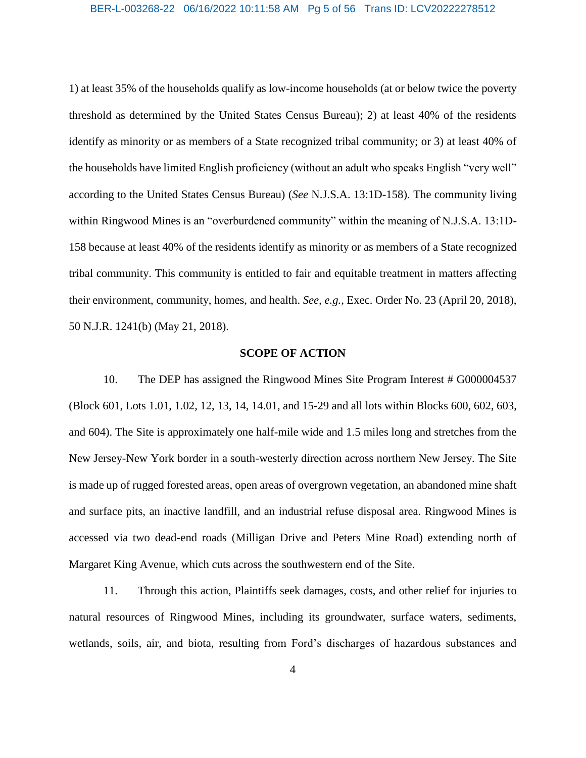## BER-L-003268-22 06/16/2022 10:11:58 AM Pg 5 of 56 Trans ID: LCV20222278512

1) at least 35% of the households qualify as low-income households (at or below twice the poverty threshold as determined by the United States Census Bureau); 2) at least 40% of the residents identify as minority or as members of a State recognized tribal community; or 3) at least 40% of the households have limited English proficiency (without an adult who speaks English "very well" according to the United States Census Bureau) (*See* N.J.S.A. 13:1D-158). The community living within Ringwood Mines is an "overburdened community" within the meaning of N.J.S.A. 13:1D-158 because at least 40% of the residents identify as minority or as members of a State recognized tribal community. This community is entitled to fair and equitable treatment in matters affecting their environment, community, homes, and health. *See, e.g.*, Exec. Order No. 23 (April 20, 2018), 50 N.J.R. 1241(b) (May 21, 2018).

## **SCOPE OF ACTION**

10. The DEP has assigned the Ringwood Mines Site Program Interest # G000004537 (Block 601, Lots 1.01, 1.02, 12, 13, 14, 14.01, and 15-29 and all lots within Blocks 600, 602, 603, and 604). The Site is approximately one half-mile wide and 1.5 miles long and stretches from the New Jersey-New York border in a south-westerly direction across northern New Jersey. The Site is made up of rugged forested areas, open areas of overgrown vegetation, an abandoned mine shaft and surface pits, an inactive landfill, and an industrial refuse disposal area. Ringwood Mines is accessed via two dead-end roads (Milligan Drive and Peters Mine Road) extending north of Margaret King Avenue, which cuts across the southwestern end of the Site.

11. Through this action, Plaintiffs seek damages, costs, and other relief for injuries to natural resources of Ringwood Mines, including its groundwater, surface waters, sediments, wetlands, soils, air, and biota, resulting from Ford's discharges of hazardous substances and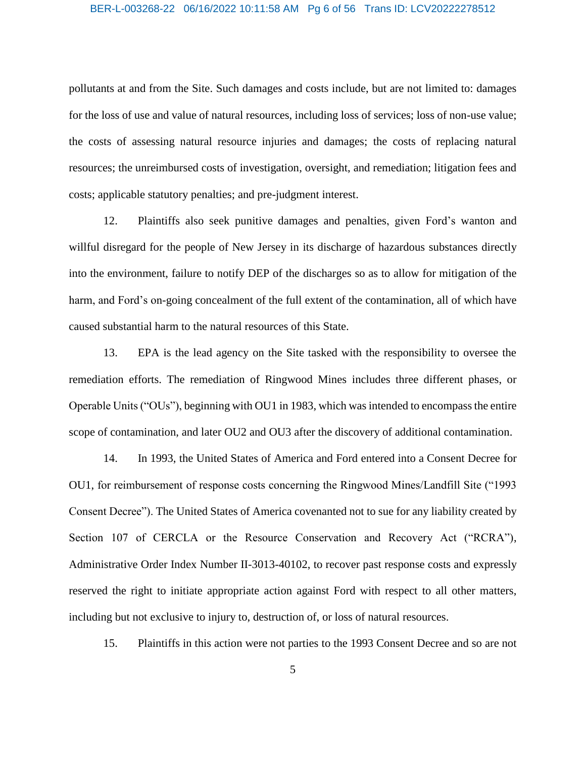#### BER-L-003268-22 06/16/2022 10:11:58 AM Pg 6 of 56 Trans ID: LCV20222278512

pollutants at and from the Site. Such damages and costs include, but are not limited to: damages for the loss of use and value of natural resources, including loss of services; loss of non-use value; the costs of assessing natural resource injuries and damages; the costs of replacing natural resources; the unreimbursed costs of investigation, oversight, and remediation; litigation fees and costs; applicable statutory penalties; and pre-judgment interest.

12. Plaintiffs also seek punitive damages and penalties, given Ford's wanton and willful disregard for the people of New Jersey in its discharge of hazardous substances directly into the environment, failure to notify DEP of the discharges so as to allow for mitigation of the harm, and Ford's on-going concealment of the full extent of the contamination, all of which have caused substantial harm to the natural resources of this State.

13. EPA is the lead agency on the Site tasked with the responsibility to oversee the remediation efforts. The remediation of Ringwood Mines includes three different phases, or Operable Units ("OUs"), beginning with OU1 in 1983, which was intended to encompass the entire scope of contamination, and later OU2 and OU3 after the discovery of additional contamination.

14. In 1993, the United States of America and Ford entered into a Consent Decree for OU1, for reimbursement of response costs concerning the Ringwood Mines/Landfill Site ("1993 Consent Decree"). The United States of America covenanted not to sue for any liability created by Section 107 of CERCLA or the Resource Conservation and Recovery Act ("RCRA"), Administrative Order Index Number II-3013-40102, to recover past response costs and expressly reserved the right to initiate appropriate action against Ford with respect to all other matters, including but not exclusive to injury to, destruction of, or loss of natural resources.

15. Plaintiffs in this action were not parties to the 1993 Consent Decree and so are not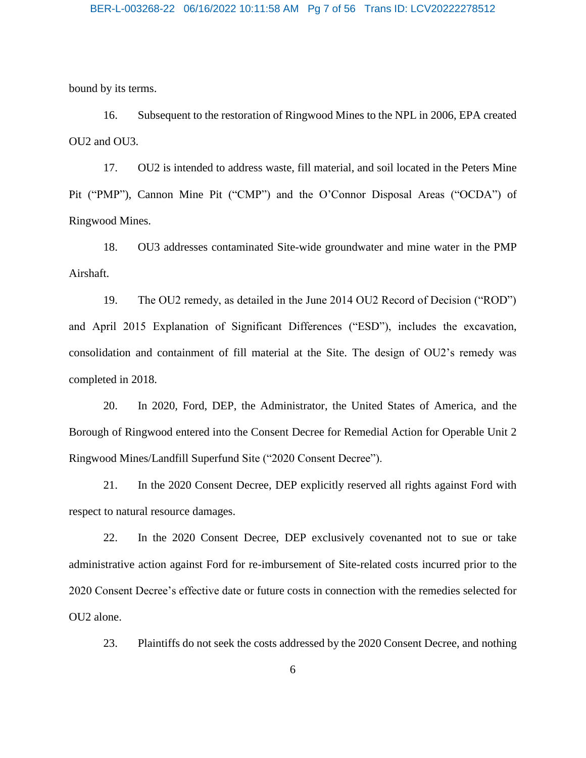bound by its terms.

16. Subsequent to the restoration of Ringwood Mines to the NPL in 2006, EPA created OU2 and OU3.

17. OU2 is intended to address waste, fill material, and soil located in the Peters Mine Pit ("PMP"), Cannon Mine Pit ("CMP") and the O'Connor Disposal Areas ("OCDA") of Ringwood Mines.

18. OU3 addresses contaminated Site-wide groundwater and mine water in the PMP Airshaft.

19. The OU2 remedy, as detailed in the June 2014 OU2 Record of Decision ("ROD") and April 2015 Explanation of Significant Differences ("ESD"), includes the excavation, consolidation and containment of fill material at the Site. The design of OU2's remedy was completed in 2018.

20. In 2020, Ford, DEP, the Administrator, the United States of America, and the Borough of Ringwood entered into the Consent Decree for Remedial Action for Operable Unit 2 Ringwood Mines/Landfill Superfund Site ("2020 Consent Decree").

21. In the 2020 Consent Decree, DEP explicitly reserved all rights against Ford with respect to natural resource damages.

22. In the 2020 Consent Decree, DEP exclusively covenanted not to sue or take administrative action against Ford for re-imbursement of Site-related costs incurred prior to the 2020 Consent Decree's effective date or future costs in connection with the remedies selected for OU2 alone.

23. Plaintiffs do not seek the costs addressed by the 2020 Consent Decree, and nothing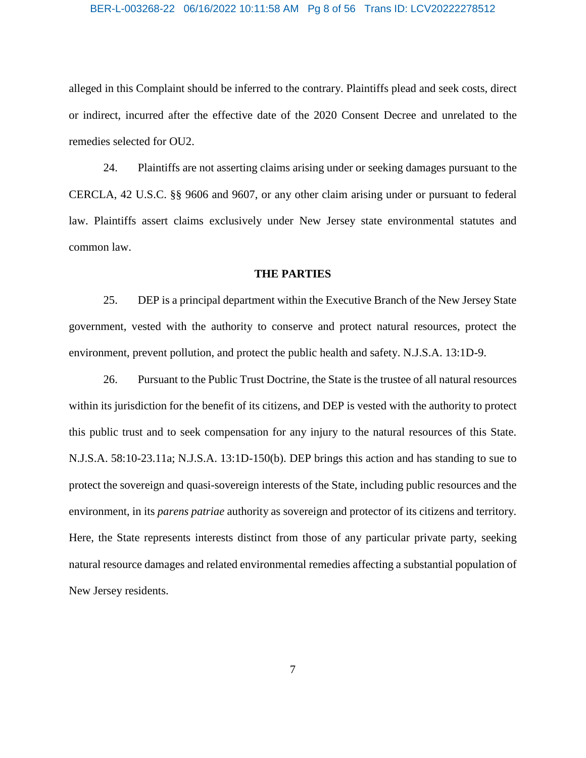## BER-L-003268-22 06/16/2022 10:11:58 AM Pg 8 of 56 Trans ID: LCV20222278512

alleged in this Complaint should be inferred to the contrary. Plaintiffs plead and seek costs, direct or indirect, incurred after the effective date of the 2020 Consent Decree and unrelated to the remedies selected for OU2.

24. Plaintiffs are not asserting claims arising under or seeking damages pursuant to the CERCLA, 42 U.S.C. §§ 9606 and 9607, or any other claim arising under or pursuant to federal law. Plaintiffs assert claims exclusively under New Jersey state environmental statutes and common law.

#### **THE PARTIES**

25. DEP is a principal department within the Executive Branch of the New Jersey State government, vested with the authority to conserve and protect natural resources, protect the environment, prevent pollution, and protect the public health and safety. N.J.S.A. 13:1D-9.

26. Pursuant to the Public Trust Doctrine, the State is the trustee of all natural resources within its jurisdiction for the benefit of its citizens, and DEP is vested with the authority to protect this public trust and to seek compensation for any injury to the natural resources of this State. N.J.S.A. 58:10-23.11a; N.J.S.A. 13:1D-150(b). DEP brings this action and has standing to sue to protect the sovereign and quasi-sovereign interests of the State, including public resources and the environment, in its *parens patriae* authority as sovereign and protector of its citizens and territory. Here, the State represents interests distinct from those of any particular private party, seeking natural resource damages and related environmental remedies affecting a substantial population of New Jersey residents.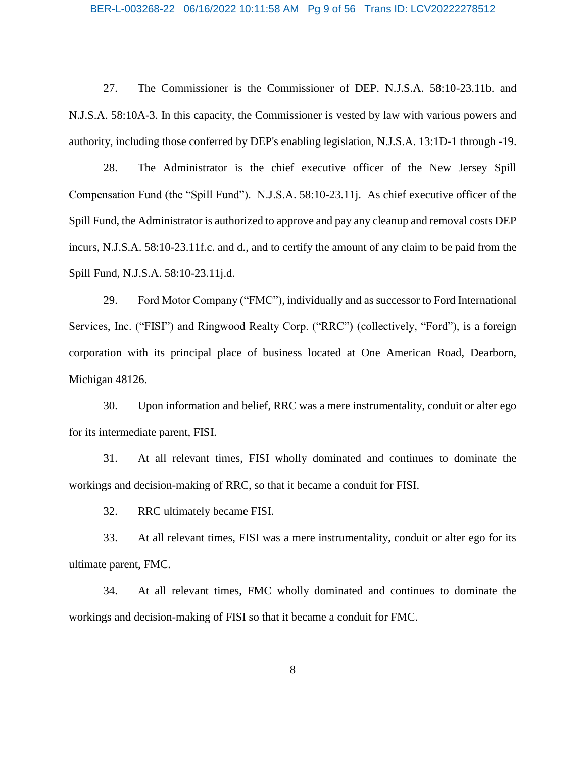## BER-L-003268-22 06/16/2022 10:11:58 AM Pg 9 of 56 Trans ID: LCV20222278512

27. The Commissioner is the Commissioner of DEP. N.J.S.A. 58:10-23.11b. and N.J.S.A. 58:10A-3. In this capacity, the Commissioner is vested by law with various powers and authority, including those conferred by DEP's enabling legislation, N.J.S.A. 13:1D-1 through -19.

28. The Administrator is the chief executive officer of the New Jersey Spill Compensation Fund (the "Spill Fund"). N.J.S.A. 58:10-23.11j. As chief executive officer of the Spill Fund, the Administrator is authorized to approve and pay any cleanup and removal costs DEP incurs, N.J.S.A. 58:10-23.11f.c. and d., and to certify the amount of any claim to be paid from the Spill Fund, N.J.S.A. 58:10-23.11j.d.

29. Ford Motor Company ("FMC"), individually and as successor to Ford International Services, Inc. ("FISI") and Ringwood Realty Corp. ("RRC") (collectively, "Ford"), is a foreign corporation with its principal place of business located at One American Road, Dearborn, Michigan 48126.

30. Upon information and belief, RRC was a mere instrumentality, conduit or alter ego for its intermediate parent, FISI.

31. At all relevant times, FISI wholly dominated and continues to dominate the workings and decision-making of RRC, so that it became a conduit for FISI.

32. RRC ultimately became FISI.

33. At all relevant times, FISI was a mere instrumentality, conduit or alter ego for its ultimate parent, FMC.

34. At all relevant times, FMC wholly dominated and continues to dominate the workings and decision-making of FISI so that it became a conduit for FMC.

8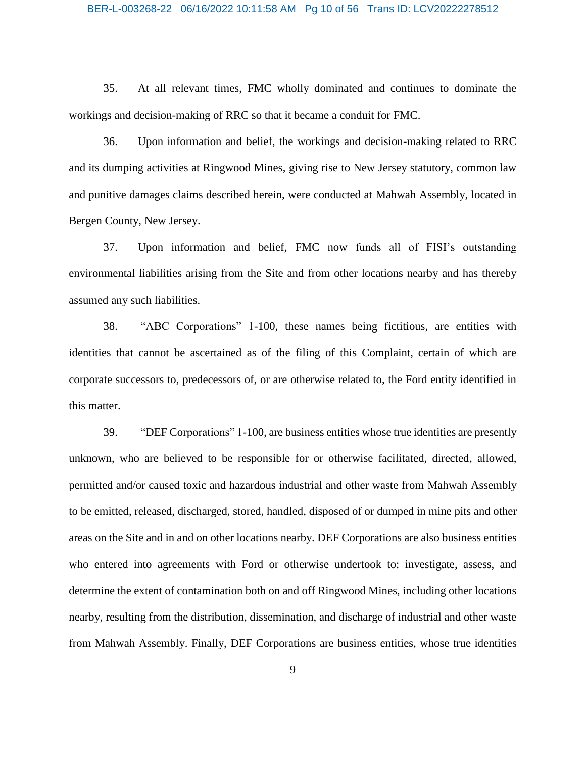#### BER-L-003268-22 06/16/2022 10:11:58 AM Pg 10 of 56 Trans ID: LCV20222278512

35. At all relevant times, FMC wholly dominated and continues to dominate the workings and decision-making of RRC so that it became a conduit for FMC.

36. Upon information and belief, the workings and decision-making related to RRC and its dumping activities at Ringwood Mines, giving rise to New Jersey statutory, common law and punitive damages claims described herein, were conducted at Mahwah Assembly, located in Bergen County, New Jersey.

37. Upon information and belief, FMC now funds all of FISI's outstanding environmental liabilities arising from the Site and from other locations nearby and has thereby assumed any such liabilities.

38. "ABC Corporations" 1-100, these names being fictitious, are entities with identities that cannot be ascertained as of the filing of this Complaint, certain of which are corporate successors to, predecessors of, or are otherwise related to, the Ford entity identified in this matter.

39. "DEF Corporations" 1-100, are business entities whose true identities are presently unknown, who are believed to be responsible for or otherwise facilitated, directed, allowed, permitted and/or caused toxic and hazardous industrial and other waste from Mahwah Assembly to be emitted, released, discharged, stored, handled, disposed of or dumped in mine pits and other areas on the Site and in and on other locations nearby. DEF Corporations are also business entities who entered into agreements with Ford or otherwise undertook to: investigate, assess, and determine the extent of contamination both on and off Ringwood Mines, including other locations nearby, resulting from the distribution, dissemination, and discharge of industrial and other waste from Mahwah Assembly. Finally, DEF Corporations are business entities, whose true identities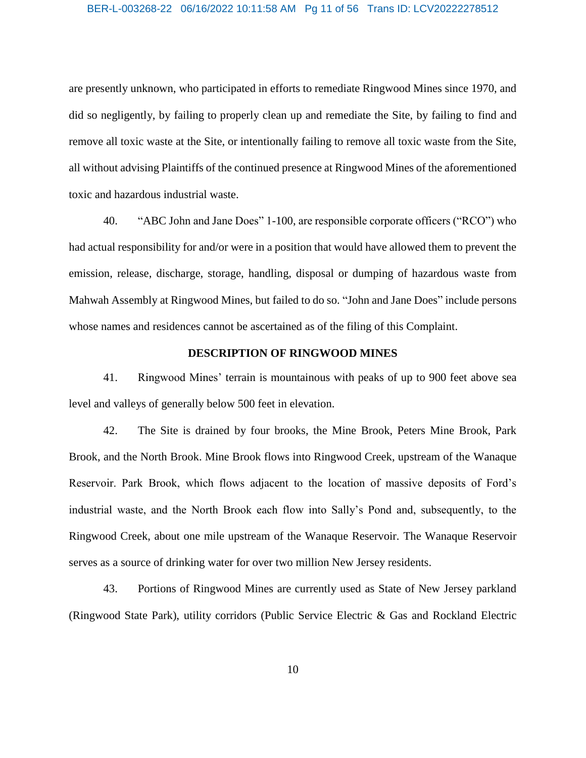#### BER-L-003268-22 06/16/2022 10:11:58 AM Pg 11 of 56 Trans ID: LCV20222278512

are presently unknown, who participated in efforts to remediate Ringwood Mines since 1970, and did so negligently, by failing to properly clean up and remediate the Site, by failing to find and remove all toxic waste at the Site, or intentionally failing to remove all toxic waste from the Site, all without advising Plaintiffs of the continued presence at Ringwood Mines of the aforementioned toxic and hazardous industrial waste.

40. "ABC John and Jane Does" 1-100, are responsible corporate officers ("RCO") who had actual responsibility for and/or were in a position that would have allowed them to prevent the emission, release, discharge, storage, handling, disposal or dumping of hazardous waste from Mahwah Assembly at Ringwood Mines, but failed to do so. "John and Jane Does" include persons whose names and residences cannot be ascertained as of the filing of this Complaint.

## **DESCRIPTION OF RINGWOOD MINES**

41. Ringwood Mines' terrain is mountainous with peaks of up to 900 feet above sea level and valleys of generally below 500 feet in elevation.

42. The Site is drained by four brooks, the Mine Brook, Peters Mine Brook, Park Brook, and the North Brook. Mine Brook flows into Ringwood Creek, upstream of the Wanaque Reservoir. Park Brook, which flows adjacent to the location of massive deposits of Ford's industrial waste, and the North Brook each flow into Sally's Pond and, subsequently, to the Ringwood Creek, about one mile upstream of the Wanaque Reservoir. The Wanaque Reservoir serves as a source of drinking water for over two million New Jersey residents.

43. Portions of Ringwood Mines are currently used as State of New Jersey parkland (Ringwood State Park), utility corridors (Public Service Electric & Gas and Rockland Electric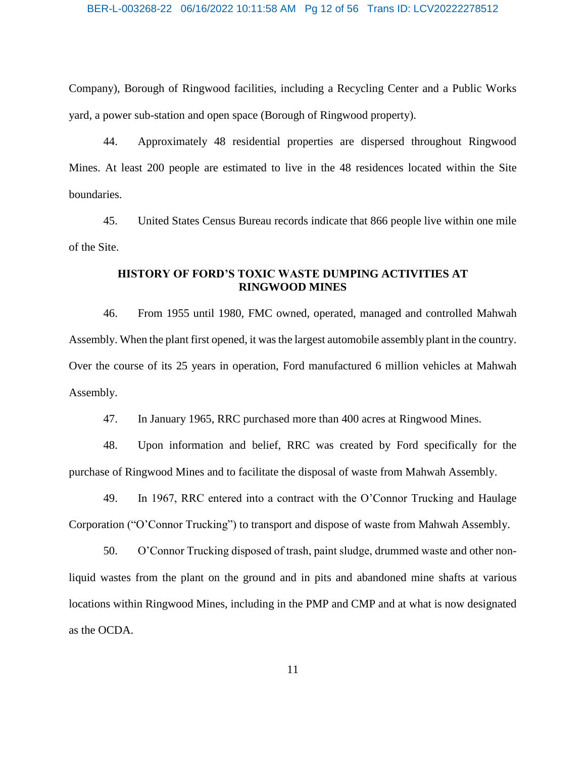#### BER-L-003268-22 06/16/2022 10:11:58 AM Pg 12 of 56 Trans ID: LCV20222278512

Company), Borough of Ringwood facilities, including a Recycling Center and a Public Works yard, a power sub-station and open space (Borough of Ringwood property).

44. Approximately 48 residential properties are dispersed throughout Ringwood Mines. At least 200 people are estimated to live in the 48 residences located within the Site boundaries.

45. United States Census Bureau records indicate that 866 people live within one mile of the Site.

## **HISTORY OF FORD'S TOXIC WASTE DUMPING ACTIVITIES AT RINGWOOD MINES**

46. From 1955 until 1980, FMC owned, operated, managed and controlled Mahwah Assembly. When the plant first opened, it was the largest automobile assembly plant in the country. Over the course of its 25 years in operation, Ford manufactured 6 million vehicles at Mahwah Assembly.

47. In January 1965, RRC purchased more than 400 acres at Ringwood Mines.

48. Upon information and belief, RRC was created by Ford specifically for the purchase of Ringwood Mines and to facilitate the disposal of waste from Mahwah Assembly.

49. In 1967, RRC entered into a contract with the O'Connor Trucking and Haulage Corporation ("O'Connor Trucking") to transport and dispose of waste from Mahwah Assembly.

50. O'Connor Trucking disposed of trash, paint sludge, drummed waste and other nonliquid wastes from the plant on the ground and in pits and abandoned mine shafts at various locations within Ringwood Mines, including in the PMP and CMP and at what is now designated as the OCDA.

11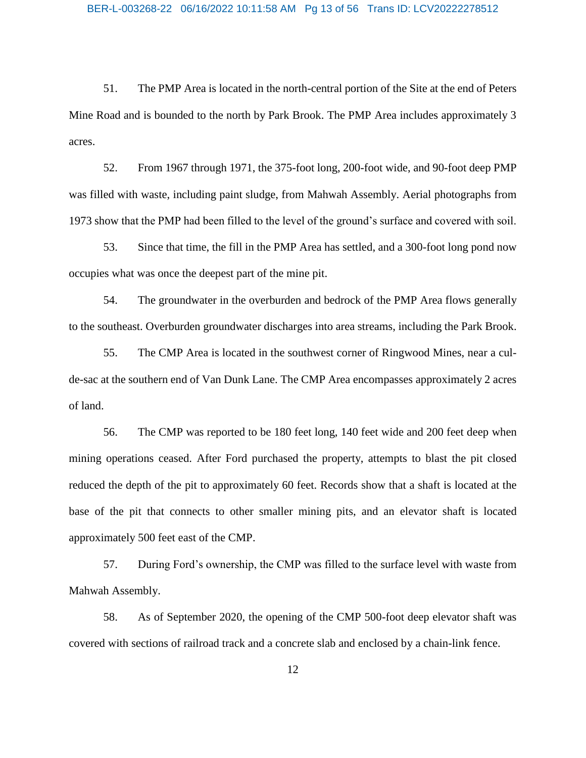51. The PMP Area is located in the north-central portion of the Site at the end of Peters Mine Road and is bounded to the north by Park Brook. The PMP Area includes approximately 3 acres.

52. From 1967 through 1971, the 375-foot long, 200-foot wide, and 90-foot deep PMP was filled with waste, including paint sludge, from Mahwah Assembly. Aerial photographs from 1973 show that the PMP had been filled to the level of the ground's surface and covered with soil.

53. Since that time, the fill in the PMP Area has settled, and a 300-foot long pond now occupies what was once the deepest part of the mine pit.

54. The groundwater in the overburden and bedrock of the PMP Area flows generally to the southeast. Overburden groundwater discharges into area streams, including the Park Brook.

55. The CMP Area is located in the southwest corner of Ringwood Mines, near a culde-sac at the southern end of Van Dunk Lane. The CMP Area encompasses approximately 2 acres of land.

56. The CMP was reported to be 180 feet long, 140 feet wide and 200 feet deep when mining operations ceased. After Ford purchased the property, attempts to blast the pit closed reduced the depth of the pit to approximately 60 feet. Records show that a shaft is located at the base of the pit that connects to other smaller mining pits, and an elevator shaft is located approximately 500 feet east of the CMP.

57. During Ford's ownership, the CMP was filled to the surface level with waste from Mahwah Assembly.

58. As of September 2020, the opening of the CMP 500-foot deep elevator shaft was covered with sections of railroad track and a concrete slab and enclosed by a chain-link fence.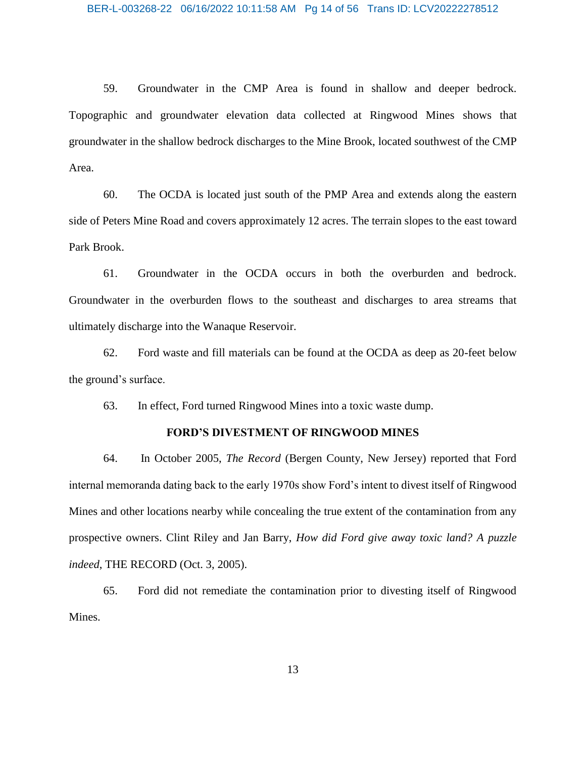59. Groundwater in the CMP Area is found in shallow and deeper bedrock. Topographic and groundwater elevation data collected at Ringwood Mines shows that groundwater in the shallow bedrock discharges to the Mine Brook, located southwest of the CMP Area.

60. The OCDA is located just south of the PMP Area and extends along the eastern side of Peters Mine Road and covers approximately 12 acres. The terrain slopes to the east toward Park Brook.

61. Groundwater in the OCDA occurs in both the overburden and bedrock. Groundwater in the overburden flows to the southeast and discharges to area streams that ultimately discharge into the Wanaque Reservoir.

62. Ford waste and fill materials can be found at the OCDA as deep as 20-feet below the ground's surface.

63. In effect, Ford turned Ringwood Mines into a toxic waste dump.

## **FORD'S DIVESTMENT OF RINGWOOD MINES**

64. In October 2005, *The Record* (Bergen County, New Jersey) reported that Ford internal memoranda dating back to the early 1970s show Ford's intent to divest itself of Ringwood Mines and other locations nearby while concealing the true extent of the contamination from any prospective owners. Clint Riley and Jan Barry, *How did Ford give away toxic land? A puzzle indeed*, THE RECORD (Oct. 3, 2005).

65. Ford did not remediate the contamination prior to divesting itself of Ringwood Mines.

13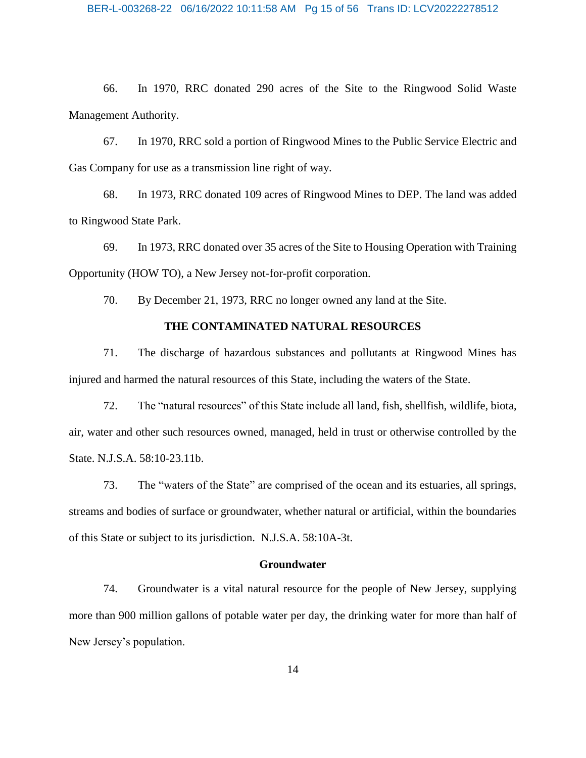66. In 1970, RRC donated 290 acres of the Site to the Ringwood Solid Waste Management Authority.

67. In 1970, RRC sold a portion of Ringwood Mines to the Public Service Electric and Gas Company for use as a transmission line right of way.

68. In 1973, RRC donated 109 acres of Ringwood Mines to DEP. The land was added to Ringwood State Park.

69. In 1973, RRC donated over 35 acres of the Site to Housing Operation with Training Opportunity (HOW TO), a New Jersey not-for-profit corporation.

70. By December 21, 1973, RRC no longer owned any land at the Site.

#### **THE CONTAMINATED NATURAL RESOURCES**

71. The discharge of hazardous substances and pollutants at Ringwood Mines has injured and harmed the natural resources of this State, including the waters of the State.

72. The "natural resources" of this State include all land, fish, shellfish, wildlife, biota, air, water and other such resources owned, managed, held in trust or otherwise controlled by the State. N.J.S.A. 58:10-23.11b.

73. The "waters of the State" are comprised of the ocean and its estuaries, all springs, streams and bodies of surface or groundwater, whether natural or artificial, within the boundaries of this State or subject to its jurisdiction. N.J.S.A. 58:10A-3t.

#### **Groundwater**

74. Groundwater is a vital natural resource for the people of New Jersey, supplying more than 900 million gallons of potable water per day, the drinking water for more than half of New Jersey's population.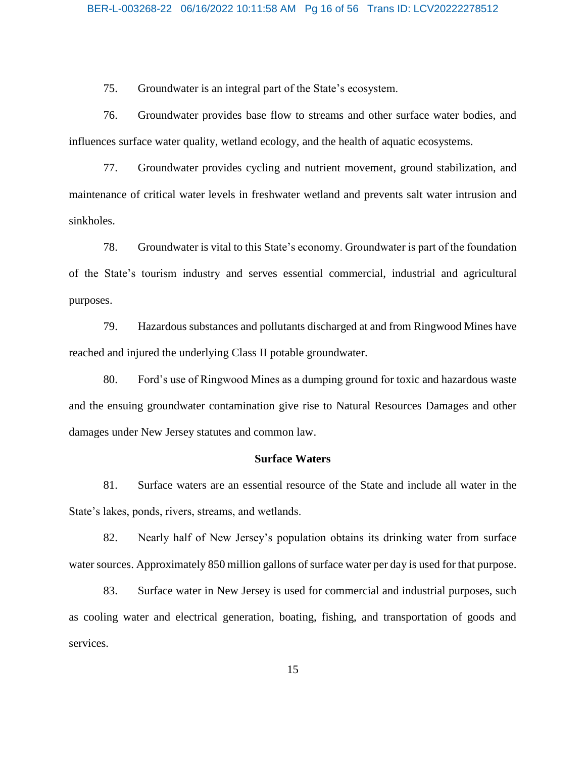75. Groundwater is an integral part of the State's ecosystem.

76. Groundwater provides base flow to streams and other surface water bodies, and influences surface water quality, wetland ecology, and the health of aquatic ecosystems.

77. Groundwater provides cycling and nutrient movement, ground stabilization, and maintenance of critical water levels in freshwater wetland and prevents salt water intrusion and sinkholes.

78. Groundwater is vital to this State's economy. Groundwater is part of the foundation of the State's tourism industry and serves essential commercial, industrial and agricultural purposes.

79. Hazardous substances and pollutants discharged at and from Ringwood Mines have reached and injured the underlying Class II potable groundwater.

80. Ford's use of Ringwood Mines as a dumping ground for toxic and hazardous waste and the ensuing groundwater contamination give rise to Natural Resources Damages and other damages under New Jersey statutes and common law.

## **Surface Waters**

81. Surface waters are an essential resource of the State and include all water in the State's lakes, ponds, rivers, streams, and wetlands.

82. Nearly half of New Jersey's population obtains its drinking water from surface water sources. Approximately 850 million gallons of surface water per day is used for that purpose.

83. Surface water in New Jersey is used for commercial and industrial purposes, such as cooling water and electrical generation, boating, fishing, and transportation of goods and services.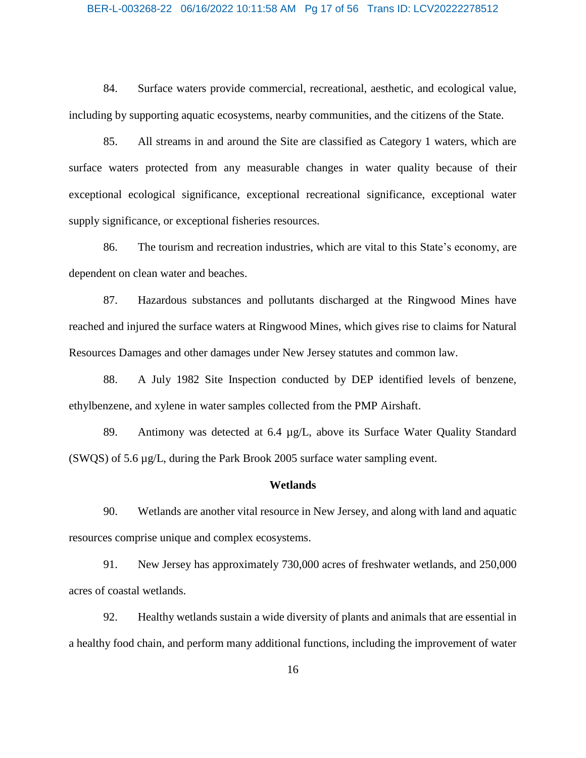#### BER-L-003268-22 06/16/2022 10:11:58 AM Pg 17 of 56 Trans ID: LCV20222278512

84. Surface waters provide commercial, recreational, aesthetic, and ecological value, including by supporting aquatic ecosystems, nearby communities, and the citizens of the State.

85. All streams in and around the Site are classified as Category 1 waters, which are surface waters protected from any measurable changes in water quality because of their exceptional ecological significance, exceptional recreational significance, exceptional water supply significance, or exceptional fisheries resources.

86. The tourism and recreation industries, which are vital to this State's economy, are dependent on clean water and beaches.

87. Hazardous substances and pollutants discharged at the Ringwood Mines have reached and injured the surface waters at Ringwood Mines, which gives rise to claims for Natural Resources Damages and other damages under New Jersey statutes and common law.

88. A July 1982 Site Inspection conducted by DEP identified levels of benzene, ethylbenzene, and xylene in water samples collected from the PMP Airshaft.

89. Antimony was detected at 6.4 µg/L, above its Surface Water Quality Standard (SWQS) of 5.6 µg/L, during the Park Brook 2005 surface water sampling event.

#### **Wetlands**

90. Wetlands are another vital resource in New Jersey, and along with land and aquatic resources comprise unique and complex ecosystems.

91. New Jersey has approximately 730,000 acres of freshwater wetlands, and 250,000 acres of coastal wetlands.

92. Healthy wetlands sustain a wide diversity of plants and animals that are essential in a healthy food chain, and perform many additional functions, including the improvement of water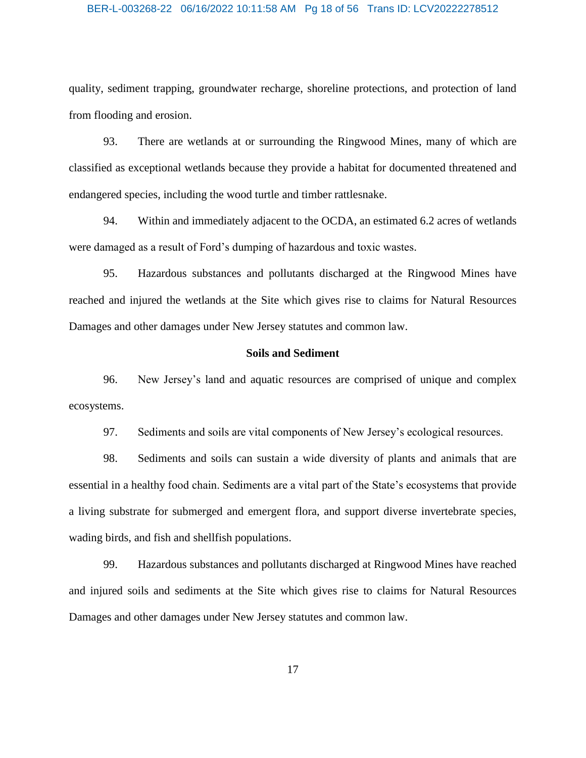#### BER-L-003268-22 06/16/2022 10:11:58 AM Pg 18 of 56 Trans ID: LCV20222278512

quality, sediment trapping, groundwater recharge, shoreline protections, and protection of land from flooding and erosion.

93. There are wetlands at or surrounding the Ringwood Mines, many of which are classified as exceptional wetlands because they provide a habitat for documented threatened and endangered species, including the wood turtle and timber rattlesnake.

94. Within and immediately adjacent to the OCDA, an estimated 6.2 acres of wetlands were damaged as a result of Ford's dumping of hazardous and toxic wastes.

95. Hazardous substances and pollutants discharged at the Ringwood Mines have reached and injured the wetlands at the Site which gives rise to claims for Natural Resources Damages and other damages under New Jersey statutes and common law.

## **Soils and Sediment**

96. New Jersey's land and aquatic resources are comprised of unique and complex ecosystems.

97. Sediments and soils are vital components of New Jersey's ecological resources.

98. Sediments and soils can sustain a wide diversity of plants and animals that are essential in a healthy food chain. Sediments are a vital part of the State's ecosystems that provide a living substrate for submerged and emergent flora, and support diverse invertebrate species, wading birds, and fish and shellfish populations.

99. Hazardous substances and pollutants discharged at Ringwood Mines have reached and injured soils and sediments at the Site which gives rise to claims for Natural Resources Damages and other damages under New Jersey statutes and common law.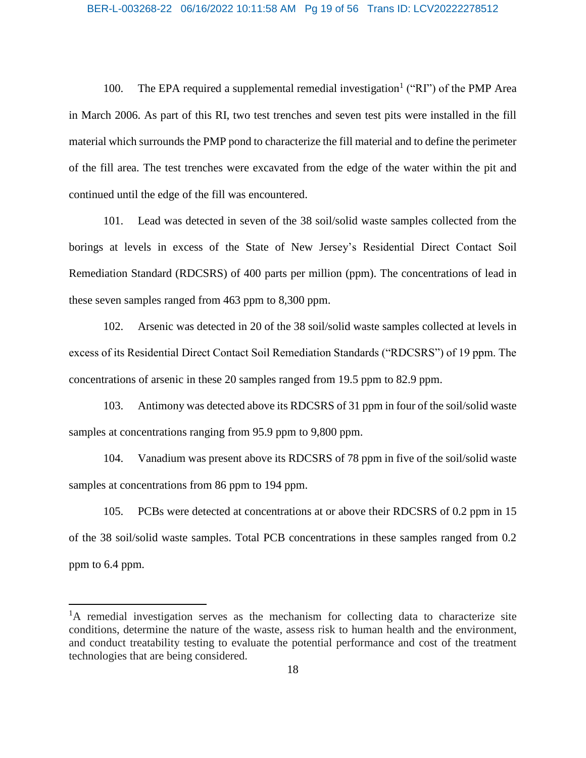#### BER-L-003268-22 06/16/2022 10:11:58 AM Pg 19 of 56 Trans ID: LCV20222278512

100. The EPA required a supplemental remedial investigation<sup>1</sup> ("RI") of the PMP Area in March 2006. As part of this RI, two test trenches and seven test pits were installed in the fill material which surrounds the PMP pond to characterize the fill material and to define the perimeter of the fill area. The test trenches were excavated from the edge of the water within the pit and continued until the edge of the fill was encountered.

101. Lead was detected in seven of the 38 soil/solid waste samples collected from the borings at levels in excess of the State of New Jersey's Residential Direct Contact Soil Remediation Standard (RDCSRS) of 400 parts per million (ppm). The concentrations of lead in these seven samples ranged from 463 ppm to 8,300 ppm.

102. Arsenic was detected in 20 of the 38 soil/solid waste samples collected at levels in excess of its Residential Direct Contact Soil Remediation Standards ("RDCSRS") of 19 ppm. The concentrations of arsenic in these 20 samples ranged from 19.5 ppm to 82.9 ppm.

103. Antimony was detected above its RDCSRS of 31 ppm in four of the soil/solid waste samples at concentrations ranging from 95.9 ppm to 9,800 ppm.

104. Vanadium was present above its RDCSRS of 78 ppm in five of the soil/solid waste samples at concentrations from 86 ppm to 194 ppm.

105. PCBs were detected at concentrations at or above their RDCSRS of 0.2 ppm in 15 of the 38 soil/solid waste samples. Total PCB concentrations in these samples ranged from 0.2 ppm to 6.4 ppm.

 $\overline{a}$ 

<sup>&</sup>lt;sup>1</sup>A remedial investigation serves as the mechanism for collecting data to characterize site conditions, determine the nature of the waste, assess risk to human health and the environment, and conduct treatability testing to evaluate the potential performance and cost of the treatment technologies that are being considered.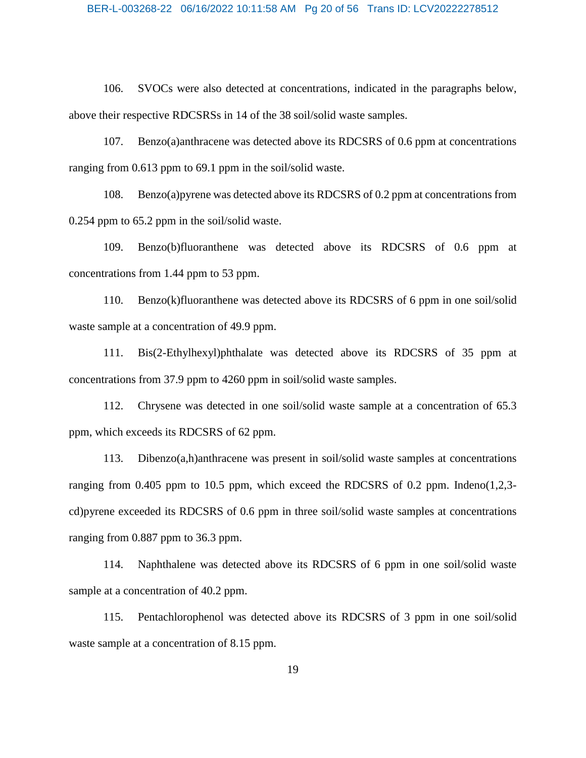106. SVOCs were also detected at concentrations, indicated in the paragraphs below, above their respective RDCSRSs in 14 of the 38 soil/solid waste samples.

107. Benzo(a)anthracene was detected above its RDCSRS of 0.6 ppm at concentrations ranging from 0.613 ppm to 69.1 ppm in the soil/solid waste.

108. Benzo(a)pyrene was detected above its RDCSRS of 0.2 ppm at concentrations from 0.254 ppm to 65.2 ppm in the soil/solid waste.

109. Benzo(b)fluoranthene was detected above its RDCSRS of 0.6 ppm at concentrations from 1.44 ppm to 53 ppm.

110. Benzo(k)fluoranthene was detected above its RDCSRS of 6 ppm in one soil/solid waste sample at a concentration of 49.9 ppm.

111. Bis(2-Ethylhexyl)phthalate was detected above its RDCSRS of 35 ppm at concentrations from 37.9 ppm to 4260 ppm in soil/solid waste samples.

112. Chrysene was detected in one soil/solid waste sample at a concentration of 65.3 ppm, which exceeds its RDCSRS of 62 ppm.

113. Dibenzo(a,h)anthracene was present in soil/solid waste samples at concentrations ranging from  $0.405$  ppm to  $10.5$  ppm, which exceed the RDCSRS of 0.2 ppm. Indeno(1,2,3cd)pyrene exceeded its RDCSRS of 0.6 ppm in three soil/solid waste samples at concentrations ranging from 0.887 ppm to 36.3 ppm.

114. Naphthalene was detected above its RDCSRS of 6 ppm in one soil/solid waste sample at a concentration of 40.2 ppm.

115. Pentachlorophenol was detected above its RDCSRS of 3 ppm in one soil/solid waste sample at a concentration of 8.15 ppm.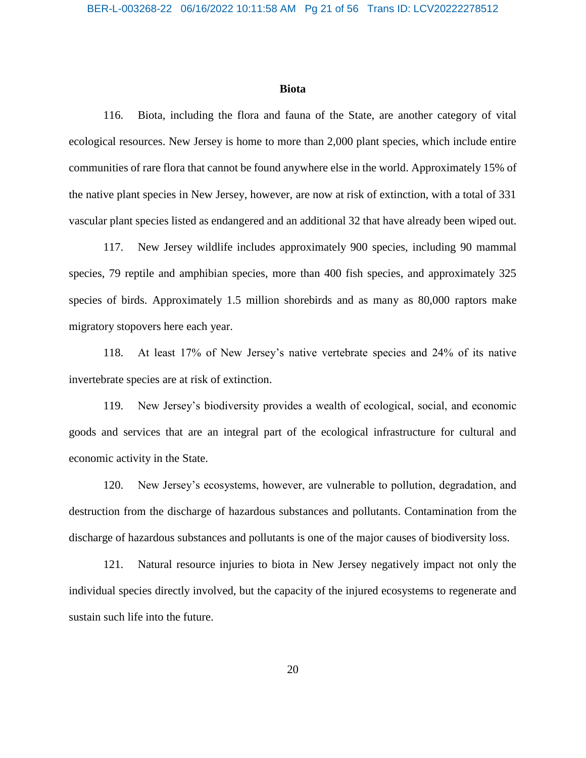#### **Biota**

116. Biota, including the flora and fauna of the State, are another category of vital ecological resources. New Jersey is home to more than 2,000 plant species, which include entire communities of rare flora that cannot be found anywhere else in the world. Approximately 15% of the native plant species in New Jersey, however, are now at risk of extinction, with a total of 331 vascular plant species listed as endangered and an additional 32 that have already been wiped out.

117. New Jersey wildlife includes approximately 900 species, including 90 mammal species, 79 reptile and amphibian species, more than 400 fish species, and approximately 325 species of birds. Approximately 1.5 million shorebirds and as many as 80,000 raptors make migratory stopovers here each year.

118. At least 17% of New Jersey's native vertebrate species and 24% of its native invertebrate species are at risk of extinction.

119. New Jersey's biodiversity provides a wealth of ecological, social, and economic goods and services that are an integral part of the ecological infrastructure for cultural and economic activity in the State.

120. New Jersey's ecosystems, however, are vulnerable to pollution, degradation, and destruction from the discharge of hazardous substances and pollutants. Contamination from the discharge of hazardous substances and pollutants is one of the major causes of biodiversity loss.

121. Natural resource injuries to biota in New Jersey negatively impact not only the individual species directly involved, but the capacity of the injured ecosystems to regenerate and sustain such life into the future.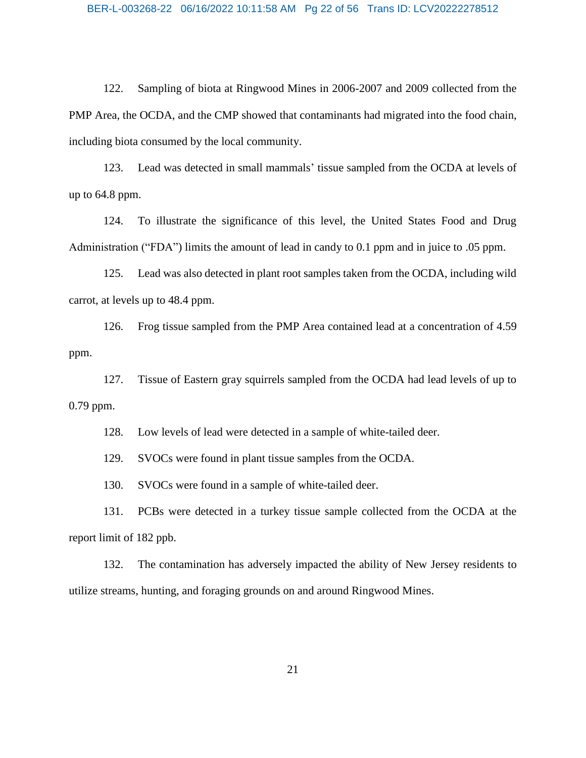122. Sampling of biota at Ringwood Mines in 2006-2007 and 2009 collected from the PMP Area, the OCDA, and the CMP showed that contaminants had migrated into the food chain, including biota consumed by the local community.

123. Lead was detected in small mammals' tissue sampled from the OCDA at levels of up to 64.8 ppm.

124. To illustrate the significance of this level, the United States Food and Drug Administration ("FDA") limits the amount of lead in candy to 0.1 ppm and in juice to .05 ppm.

125. Lead was also detected in plant root samples taken from the OCDA, including wild carrot, at levels up to 48.4 ppm.

126. Frog tissue sampled from the PMP Area contained lead at a concentration of 4.59 ppm.

127. Tissue of Eastern gray squirrels sampled from the OCDA had lead levels of up to 0.79 ppm.

128. Low levels of lead were detected in a sample of white-tailed deer.

129. SVOCs were found in plant tissue samples from the OCDA.

130. SVOCs were found in a sample of white-tailed deer.

131. PCBs were detected in a turkey tissue sample collected from the OCDA at the report limit of 182 ppb.

132. The contamination has adversely impacted the ability of New Jersey residents to utilize streams, hunting, and foraging grounds on and around Ringwood Mines.

21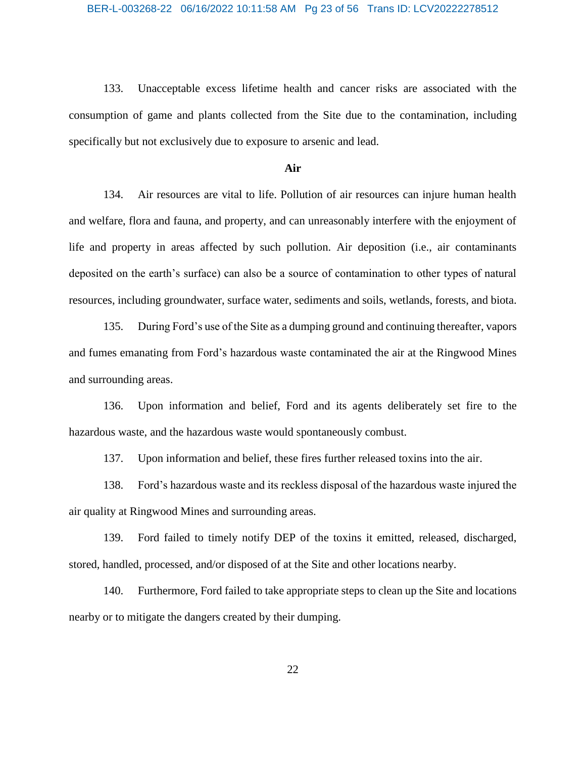133. Unacceptable excess lifetime health and cancer risks are associated with the consumption of game and plants collected from the Site due to the contamination, including specifically but not exclusively due to exposure to arsenic and lead.

## **Air**

134. Air resources are vital to life. Pollution of air resources can injure human health and welfare, flora and fauna, and property, and can unreasonably interfere with the enjoyment of life and property in areas affected by such pollution. Air deposition (i.e., air contaminants deposited on the earth's surface) can also be a source of contamination to other types of natural resources, including groundwater, surface water, sediments and soils, wetlands, forests, and biota.

135. During Ford's use of the Site as a dumping ground and continuing thereafter, vapors and fumes emanating from Ford's hazardous waste contaminated the air at the Ringwood Mines and surrounding areas.

136. Upon information and belief, Ford and its agents deliberately set fire to the hazardous waste, and the hazardous waste would spontaneously combust.

137. Upon information and belief, these fires further released toxins into the air.

138. Ford's hazardous waste and its reckless disposal of the hazardous waste injured the air quality at Ringwood Mines and surrounding areas.

139. Ford failed to timely notify DEP of the toxins it emitted, released, discharged, stored, handled, processed, and/or disposed of at the Site and other locations nearby.

140. Furthermore, Ford failed to take appropriate steps to clean up the Site and locations nearby or to mitigate the dangers created by their dumping.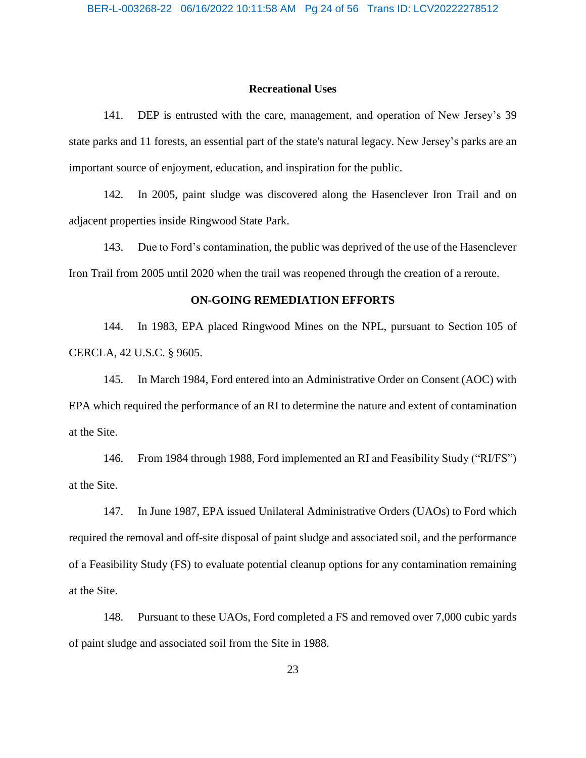#### **Recreational Uses**

141. DEP is entrusted with the care, management, and operation of New Jersey's 39 state parks and 11 forests, an essential part of the state's natural legacy. New Jersey's parks are an important source of enjoyment, education, and inspiration for the public.

142. In 2005, paint sludge was discovered along the Hasenclever Iron Trail and on adjacent properties inside Ringwood State Park.

143. Due to Ford's contamination, the public was deprived of the use of the Hasenclever Iron Trail from 2005 until 2020 when the trail was reopened through the creation of a reroute.

## **ON-GOING REMEDIATION EFFORTS**

144. In 1983, EPA placed Ringwood Mines on the NPL, pursuant to Section 105 of CERCLA, 42 U.S.C. § 9605.

145. In March 1984, Ford entered into an Administrative Order on Consent (AOC) with EPA which required the performance of an RI to determine the nature and extent of contamination at the Site.

146. From 1984 through 1988, Ford implemented an RI and Feasibility Study ("RI/FS") at the Site.

147. In June 1987, EPA issued Unilateral Administrative Orders (UAOs) to Ford which required the removal and off-site disposal of paint sludge and associated soil, and the performance of a Feasibility Study (FS) to evaluate potential cleanup options for any contamination remaining at the Site.

148. Pursuant to these UAOs, Ford completed a FS and removed over 7,000 cubic yards of paint sludge and associated soil from the Site in 1988.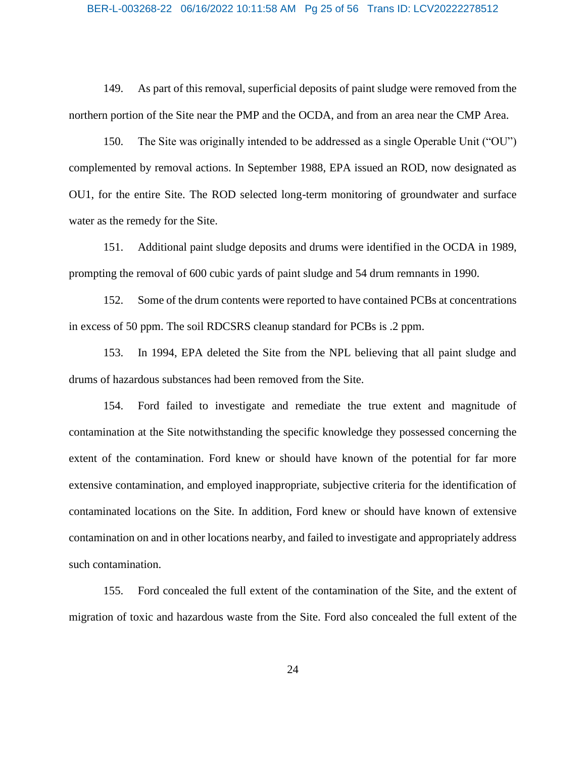#### BER-L-003268-22 06/16/2022 10:11:58 AM Pg 25 of 56 Trans ID: LCV20222278512

149. As part of this removal, superficial deposits of paint sludge were removed from the northern portion of the Site near the PMP and the OCDA, and from an area near the CMP Area.

150. The Site was originally intended to be addressed as a single Operable Unit ("OU") complemented by removal actions. In September 1988, EPA issued an ROD, now designated as OU1, for the entire Site. The ROD selected long-term monitoring of groundwater and surface water as the remedy for the Site.

151. Additional paint sludge deposits and drums were identified in the OCDA in 1989, prompting the removal of 600 cubic yards of paint sludge and 54 drum remnants in 1990.

152. Some of the drum contents were reported to have contained PCBs at concentrations in excess of 50 ppm. The soil RDCSRS cleanup standard for PCBs is .2 ppm.

153. In 1994, EPA deleted the Site from the NPL believing that all paint sludge and drums of hazardous substances had been removed from the Site.

154. Ford failed to investigate and remediate the true extent and magnitude of contamination at the Site notwithstanding the specific knowledge they possessed concerning the extent of the contamination. Ford knew or should have known of the potential for far more extensive contamination, and employed inappropriate, subjective criteria for the identification of contaminated locations on the Site. In addition, Ford knew or should have known of extensive contamination on and in other locations nearby, and failed to investigate and appropriately address such contamination.

155. Ford concealed the full extent of the contamination of the Site, and the extent of migration of toxic and hazardous waste from the Site. Ford also concealed the full extent of the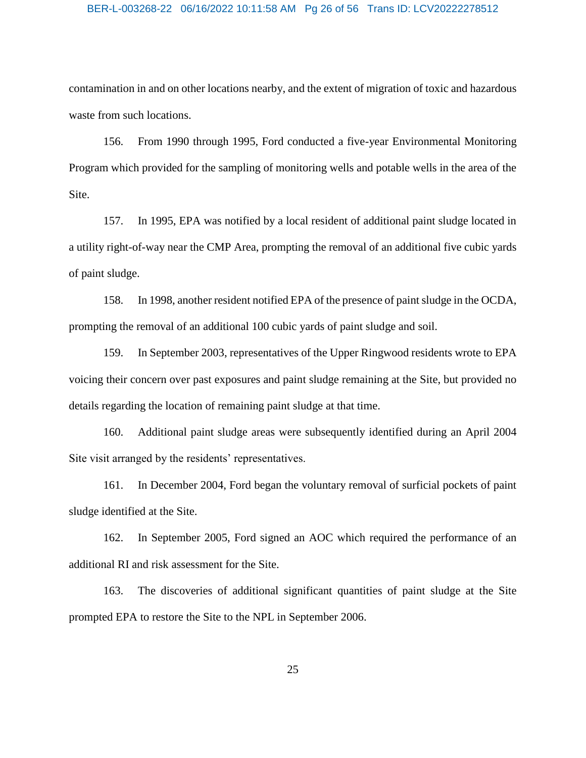#### BER-L-003268-22 06/16/2022 10:11:58 AM Pg 26 of 56 Trans ID: LCV20222278512

contamination in and on other locations nearby, and the extent of migration of toxic and hazardous waste from such locations.

156. From 1990 through 1995, Ford conducted a five-year Environmental Monitoring Program which provided for the sampling of monitoring wells and potable wells in the area of the Site.

157. In 1995, EPA was notified by a local resident of additional paint sludge located in a utility right-of-way near the CMP Area, prompting the removal of an additional five cubic yards of paint sludge.

158. In 1998, another resident notified EPA of the presence of paint sludge in the OCDA, prompting the removal of an additional 100 cubic yards of paint sludge and soil.

159. In September 2003, representatives of the Upper Ringwood residents wrote to EPA voicing their concern over past exposures and paint sludge remaining at the Site, but provided no details regarding the location of remaining paint sludge at that time.

160. Additional paint sludge areas were subsequently identified during an April 2004 Site visit arranged by the residents' representatives.

161. In December 2004, Ford began the voluntary removal of surficial pockets of paint sludge identified at the Site.

162. In September 2005, Ford signed an AOC which required the performance of an additional RI and risk assessment for the Site.

163. The discoveries of additional significant quantities of paint sludge at the Site prompted EPA to restore the Site to the NPL in September 2006.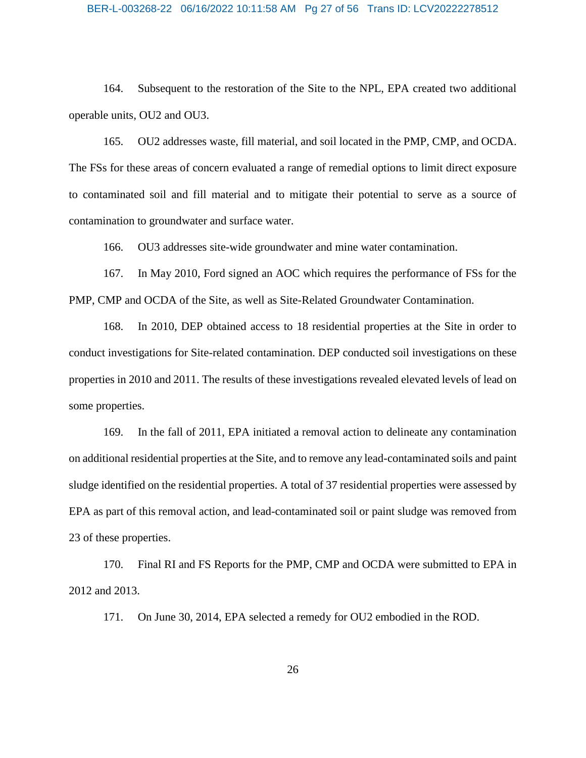#### BER-L-003268-22 06/16/2022 10:11:58 AM Pg 27 of 56 Trans ID: LCV20222278512

164. Subsequent to the restoration of the Site to the NPL, EPA created two additional operable units, OU2 and OU3.

165. OU2 addresses waste, fill material, and soil located in the PMP, CMP, and OCDA. The FSs for these areas of concern evaluated a range of remedial options to limit direct exposure to contaminated soil and fill material and to mitigate their potential to serve as a source of contamination to groundwater and surface water.

166. OU3 addresses site-wide groundwater and mine water contamination.

167. In May 2010, Ford signed an AOC which requires the performance of FSs for the PMP, CMP and OCDA of the Site, as well as Site-Related Groundwater Contamination.

168. In 2010, DEP obtained access to 18 residential properties at the Site in order to conduct investigations for Site-related contamination. DEP conducted soil investigations on these properties in 2010 and 2011. The results of these investigations revealed elevated levels of lead on some properties.

169. In the fall of 2011, EPA initiated a removal action to delineate any contamination on additional residential properties at the Site, and to remove any lead-contaminated soils and paint sludge identified on the residential properties. A total of 37 residential properties were assessed by EPA as part of this removal action, and lead-contaminated soil or paint sludge was removed from 23 of these properties.

170. Final RI and FS Reports for the PMP, CMP and OCDA were submitted to EPA in 2012 and 2013.

171. On June 30, 2014, EPA selected a remedy for OU2 embodied in the ROD.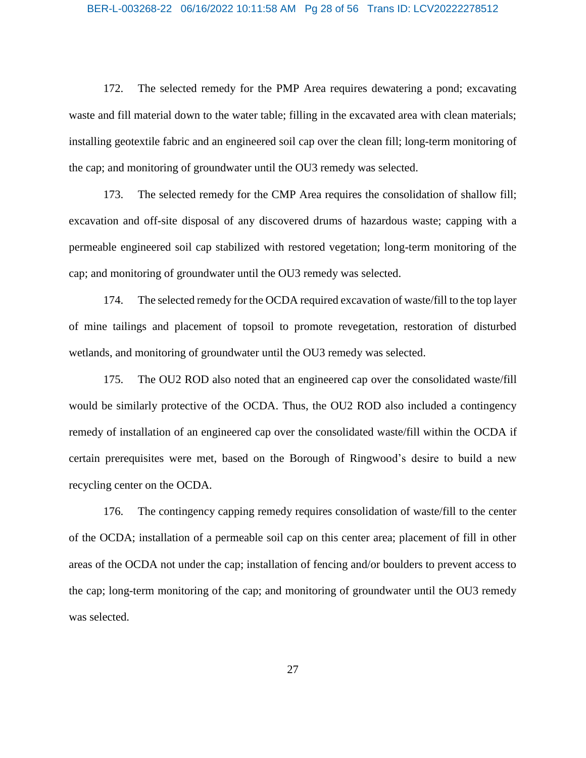#### BER-L-003268-22 06/16/2022 10:11:58 AM Pg 28 of 56 Trans ID: LCV20222278512

172. The selected remedy for the PMP Area requires dewatering a pond; excavating waste and fill material down to the water table; filling in the excavated area with clean materials; installing geotextile fabric and an engineered soil cap over the clean fill; long-term monitoring of the cap; and monitoring of groundwater until the OU3 remedy was selected.

173. The selected remedy for the CMP Area requires the consolidation of shallow fill; excavation and off-site disposal of any discovered drums of hazardous waste; capping with a permeable engineered soil cap stabilized with restored vegetation; long-term monitoring of the cap; and monitoring of groundwater until the OU3 remedy was selected.

174. The selected remedy for the OCDA required excavation of waste/fill to the top layer of mine tailings and placement of topsoil to promote revegetation, restoration of disturbed wetlands, and monitoring of groundwater until the OU3 remedy was selected.

175. The OU2 ROD also noted that an engineered cap over the consolidated waste/fill would be similarly protective of the OCDA. Thus, the OU2 ROD also included a contingency remedy of installation of an engineered cap over the consolidated waste/fill within the OCDA if certain prerequisites were met, based on the Borough of Ringwood's desire to build a new recycling center on the OCDA.

176. The contingency capping remedy requires consolidation of waste/fill to the center of the OCDA; installation of a permeable soil cap on this center area; placement of fill in other areas of the OCDA not under the cap; installation of fencing and/or boulders to prevent access to the cap; long-term monitoring of the cap; and monitoring of groundwater until the OU3 remedy was selected.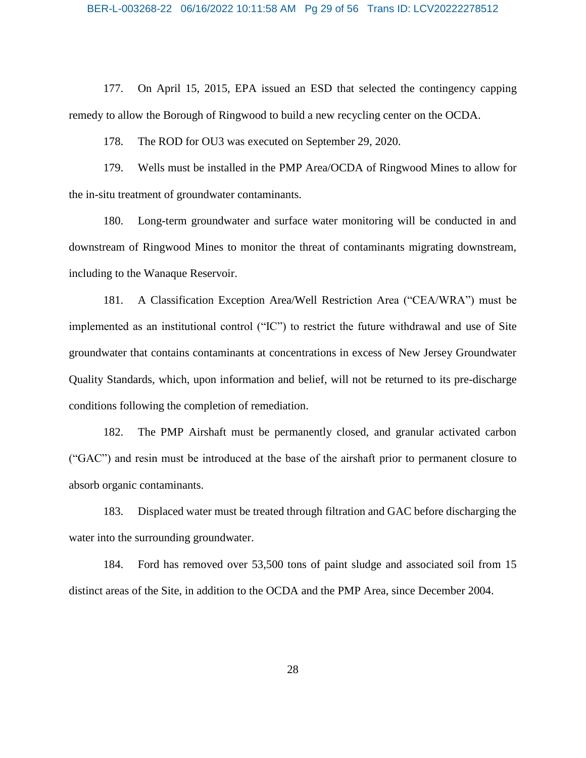177. On April 15, 2015, EPA issued an ESD that selected the contingency capping remedy to allow the Borough of Ringwood to build a new recycling center on the OCDA.

178. The ROD for OU3 was executed on September 29, 2020.

179. Wells must be installed in the PMP Area/OCDA of Ringwood Mines to allow for the in-situ treatment of groundwater contaminants.

180. Long-term groundwater and surface water monitoring will be conducted in and downstream of Ringwood Mines to monitor the threat of contaminants migrating downstream, including to the Wanaque Reservoir.

181. A Classification Exception Area/Well Restriction Area ("CEA/WRA") must be implemented as an institutional control ("IC") to restrict the future withdrawal and use of Site groundwater that contains contaminants at concentrations in excess of New Jersey Groundwater Quality Standards, which, upon information and belief, will not be returned to its pre-discharge conditions following the completion of remediation.

182. The PMP Airshaft must be permanently closed, and granular activated carbon ("GAC") and resin must be introduced at the base of the airshaft prior to permanent closure to absorb organic contaminants.

183. Displaced water must be treated through filtration and GAC before discharging the water into the surrounding groundwater.

184. Ford has removed over 53,500 tons of paint sludge and associated soil from 15 distinct areas of the Site, in addition to the OCDA and the PMP Area, since December 2004.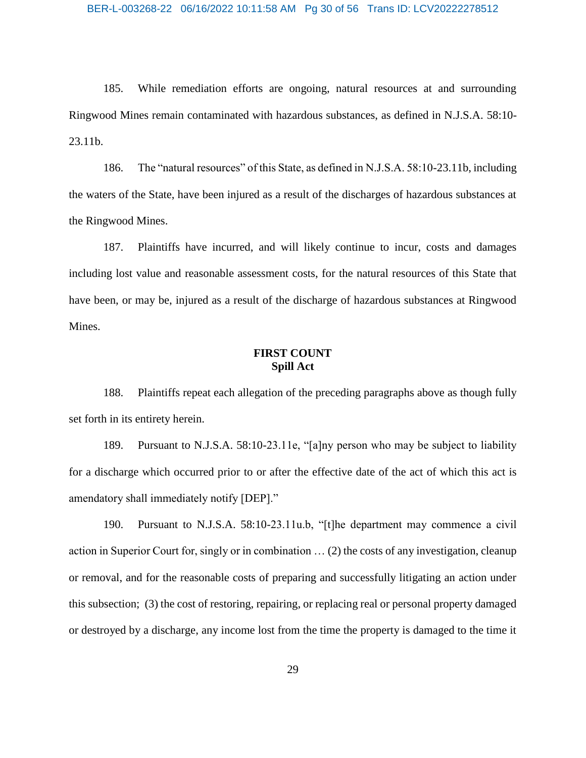185. While remediation efforts are ongoing, natural resources at and surrounding Ringwood Mines remain contaminated with hazardous substances, as defined in N.J.S.A. 58:10- 23.11b.

186. The "natural resources" of this State, as defined in N.J.S.A. 58:10-23.11b, including the waters of the State, have been injured as a result of the discharges of hazardous substances at the Ringwood Mines.

187. Plaintiffs have incurred, and will likely continue to incur, costs and damages including lost value and reasonable assessment costs, for the natural resources of this State that have been, or may be, injured as a result of the discharge of hazardous substances at Ringwood Mines.

## **FIRST COUNT Spill Act**

188. Plaintiffs repeat each allegation of the preceding paragraphs above as though fully set forth in its entirety herein.

189. Pursuant to N.J.S.A. 58:10-23.11e, "[a]ny person who may be subject to liability for a discharge which occurred prior to or after the effective date of the act of which this act is amendatory shall immediately notify [DEP]."

190. Pursuant to N.J.S.A. 58:10-23.11u.b, "[t]he department may commence a civil action in Superior Court for, singly or in combination … (2) the costs of any investigation, cleanup or removal, and for the reasonable costs of preparing and successfully litigating an action under this subsection; (3) the cost of restoring, repairing, or replacing real or personal property damaged or destroyed by a discharge, any income lost from the time the property is damaged to the time it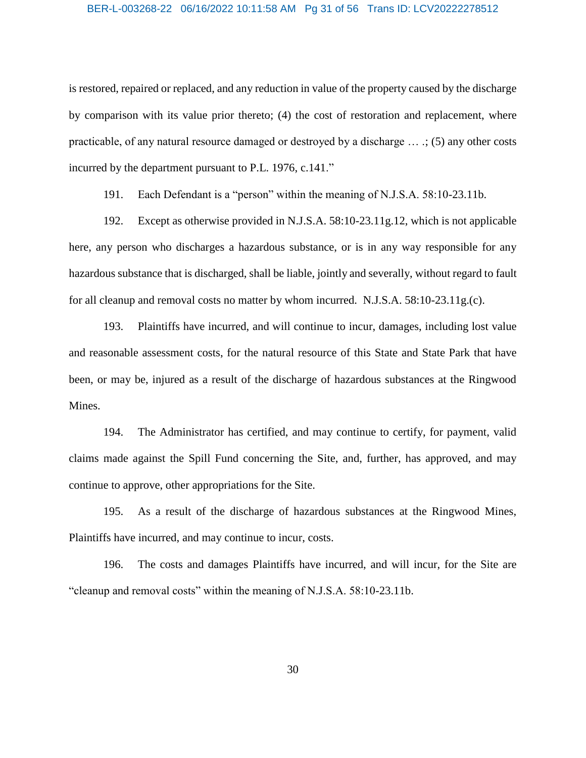#### BER-L-003268-22 06/16/2022 10:11:58 AM Pg 31 of 56 Trans ID: LCV20222278512

is restored, repaired or replaced, and any reduction in value of the property caused by the discharge by comparison with its value prior thereto; (4) the cost of restoration and replacement, where practicable, of any natural resource damaged or destroyed by a discharge … .; (5) any other costs incurred by the department pursuant to P.L. 1976, c.141."

191. Each Defendant is a "person" within the meaning of N.J.S.A. 58:10-23.11b.

192. Except as otherwise provided in N.J.S.A. 58:10-23.11g.12, which is not applicable here, any person who discharges a hazardous substance, or is in any way responsible for any hazardous substance that is discharged, shall be liable, jointly and severally, without regard to fault for all cleanup and removal costs no matter by whom incurred. N.J.S.A. 58:10-23.11g.(c).

193. Plaintiffs have incurred, and will continue to incur, damages, including lost value and reasonable assessment costs, for the natural resource of this State and State Park that have been, or may be, injured as a result of the discharge of hazardous substances at the Ringwood Mines.

194. The Administrator has certified, and may continue to certify, for payment, valid claims made against the Spill Fund concerning the Site, and, further, has approved, and may continue to approve, other appropriations for the Site.

195. As a result of the discharge of hazardous substances at the Ringwood Mines, Plaintiffs have incurred, and may continue to incur, costs.

196. The costs and damages Plaintiffs have incurred, and will incur, for the Site are "cleanup and removal costs" within the meaning of N.J.S.A. 58:10-23.11b.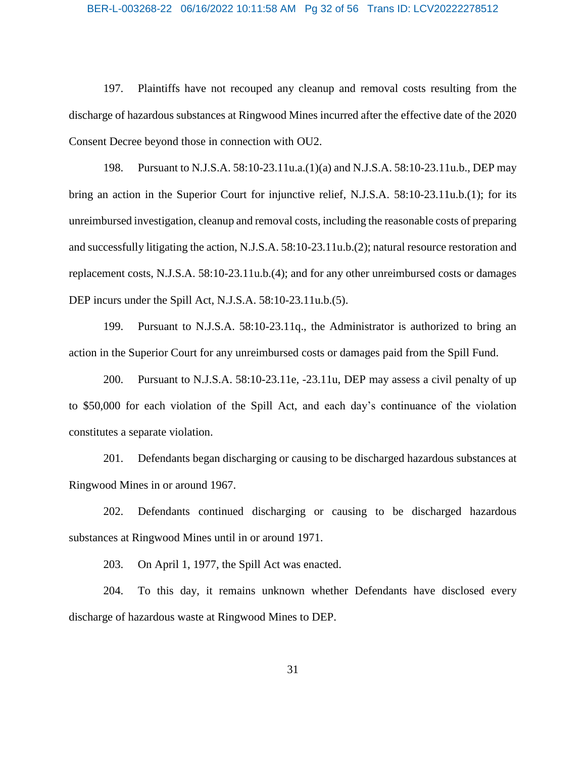#### BER-L-003268-22 06/16/2022 10:11:58 AM Pg 32 of 56 Trans ID: LCV20222278512

197. Plaintiffs have not recouped any cleanup and removal costs resulting from the discharge of hazardous substances at Ringwood Mines incurred after the effective date of the 2020 Consent Decree beyond those in connection with OU2.

198. Pursuant to N.J.S.A. 58:10-23.11u.a.(1)(a) and N.J.S.A. 58:10-23.11u.b., DEP may bring an action in the Superior Court for injunctive relief, N.J.S.A. 58:10-23.11u.b.(1); for its unreimbursed investigation, cleanup and removal costs, including the reasonable costs of preparing and successfully litigating the action, N.J.S.A. 58:10-23.11u.b.(2); natural resource restoration and replacement costs, N.J.S.A. 58:10-23.11u.b.(4); and for any other unreimbursed costs or damages DEP incurs under the Spill Act, N.J.S.A. 58:10-23.11u.b.(5).

199. Pursuant to N.J.S.A. 58:10-23.11q., the Administrator is authorized to bring an action in the Superior Court for any unreimbursed costs or damages paid from the Spill Fund.

200. Pursuant to N.J.S.A. 58:10-23.11e, -23.11u, DEP may assess a civil penalty of up to \$50,000 for each violation of the Spill Act, and each day's continuance of the violation constitutes a separate violation.

201. Defendants began discharging or causing to be discharged hazardous substances at Ringwood Mines in or around 1967.

202. Defendants continued discharging or causing to be discharged hazardous substances at Ringwood Mines until in or around 1971.

203. On April 1, 1977, the Spill Act was enacted.

204. To this day, it remains unknown whether Defendants have disclosed every discharge of hazardous waste at Ringwood Mines to DEP.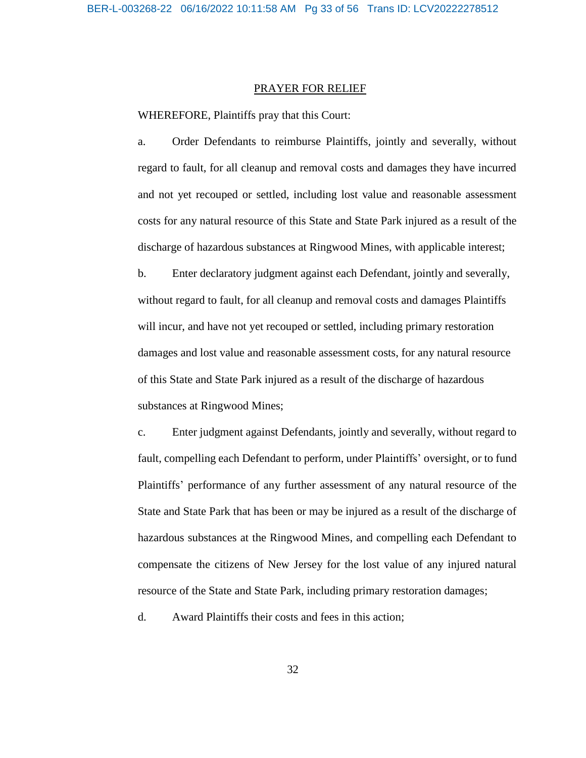#### PRAYER FOR RELIEF

WHEREFORE, Plaintiffs pray that this Court:

a. Order Defendants to reimburse Plaintiffs, jointly and severally, without regard to fault, for all cleanup and removal costs and damages they have incurred and not yet recouped or settled, including lost value and reasonable assessment costs for any natural resource of this State and State Park injured as a result of the discharge of hazardous substances at Ringwood Mines, with applicable interest;

b. Enter declaratory judgment against each Defendant, jointly and severally, without regard to fault, for all cleanup and removal costs and damages Plaintiffs will incur, and have not yet recouped or settled, including primary restoration damages and lost value and reasonable assessment costs, for any natural resource of this State and State Park injured as a result of the discharge of hazardous substances at Ringwood Mines;

c. Enter judgment against Defendants, jointly and severally, without regard to fault, compelling each Defendant to perform, under Plaintiffs' oversight, or to fund Plaintiffs' performance of any further assessment of any natural resource of the State and State Park that has been or may be injured as a result of the discharge of hazardous substances at the Ringwood Mines, and compelling each Defendant to compensate the citizens of New Jersey for the lost value of any injured natural resource of the State and State Park, including primary restoration damages;

d. Award Plaintiffs their costs and fees in this action;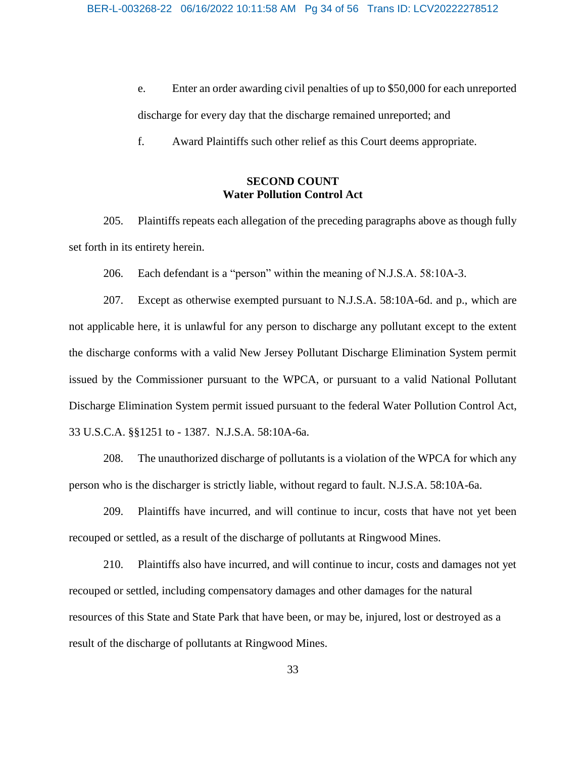e. Enter an order awarding civil penalties of up to \$50,000 for each unreported discharge for every day that the discharge remained unreported; and

f. Award Plaintiffs such other relief as this Court deems appropriate.

## **SECOND COUNT Water Pollution Control Act**

205. Plaintiffs repeats each allegation of the preceding paragraphs above as though fully set forth in its entirety herein.

206. Each defendant is a "person" within the meaning of N.J.S.A. 58:10A-3.

207. Except as otherwise exempted pursuant to N.J.S.A. 58:10A-6d. and p., which are not applicable here, it is unlawful for any person to discharge any pollutant except to the extent the discharge conforms with a valid New Jersey Pollutant Discharge Elimination System permit issued by the Commissioner pursuant to the WPCA, or pursuant to a valid National Pollutant Discharge Elimination System permit issued pursuant to the federal Water Pollution Control Act, 33 U.S.C.A. §§1251 to - 1387. N.J.S.A. 58:10A-6a.

208. The unauthorized discharge of pollutants is a violation of the WPCA for which any person who is the discharger is strictly liable, without regard to fault. N.J.S.A. 58:10A-6a.

209. Plaintiffs have incurred, and will continue to incur, costs that have not yet been recouped or settled, as a result of the discharge of pollutants at Ringwood Mines.

210. Plaintiffs also have incurred, and will continue to incur, costs and damages not yet recouped or settled, including compensatory damages and other damages for the natural resources of this State and State Park that have been, or may be, injured, lost or destroyed as a result of the discharge of pollutants at Ringwood Mines.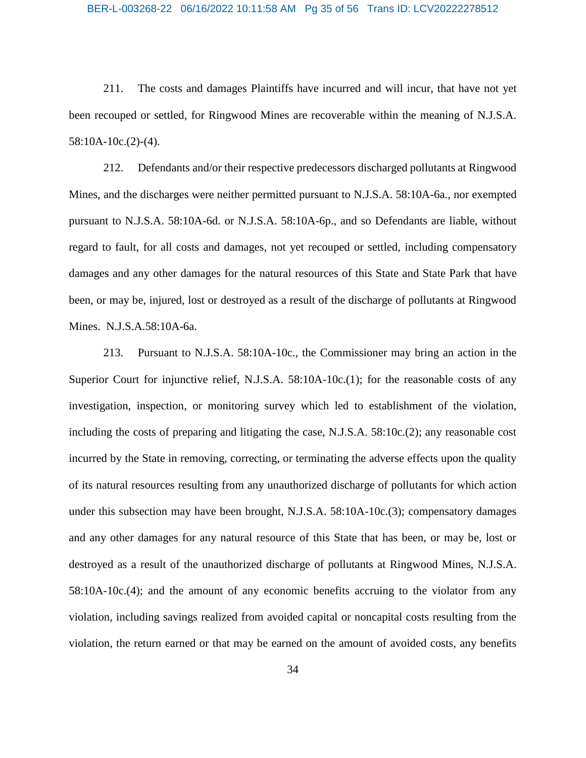#### BER-L-003268-22 06/16/2022 10:11:58 AM Pg 35 of 56 Trans ID: LCV20222278512

211. The costs and damages Plaintiffs have incurred and will incur, that have not yet been recouped or settled, for Ringwood Mines are recoverable within the meaning of N.J.S.A. 58:10A-10c.(2)-(4).

212. Defendants and/or their respective predecessors discharged pollutants at Ringwood Mines, and the discharges were neither permitted pursuant to N.J.S.A. 58:10A-6a., nor exempted pursuant to N.J.S.A. 58:10A-6d. or N.J.S.A. 58:10A-6p., and so Defendants are liable, without regard to fault, for all costs and damages, not yet recouped or settled, including compensatory damages and any other damages for the natural resources of this State and State Park that have been, or may be, injured, lost or destroyed as a result of the discharge of pollutants at Ringwood Mines. N.J.S.A.58:10A-6a.

213. Pursuant to N.J.S.A. 58:10A-10c., the Commissioner may bring an action in the Superior Court for injunctive relief, N.J.S.A. 58:10A-10c.(1); for the reasonable costs of any investigation, inspection, or monitoring survey which led to establishment of the violation, including the costs of preparing and litigating the case, N.J.S.A. 58:10c.(2); any reasonable cost incurred by the State in removing, correcting, or terminating the adverse effects upon the quality of its natural resources resulting from any unauthorized discharge of pollutants for which action under this subsection may have been brought, N.J.S.A. 58:10A-10c.(3); compensatory damages and any other damages for any natural resource of this State that has been, or may be, lost or destroyed as a result of the unauthorized discharge of pollutants at Ringwood Mines, N.J.S.A. 58:10A-10c.(4); and the amount of any economic benefits accruing to the violator from any violation, including savings realized from avoided capital or noncapital costs resulting from the violation, the return earned or that may be earned on the amount of avoided costs, any benefits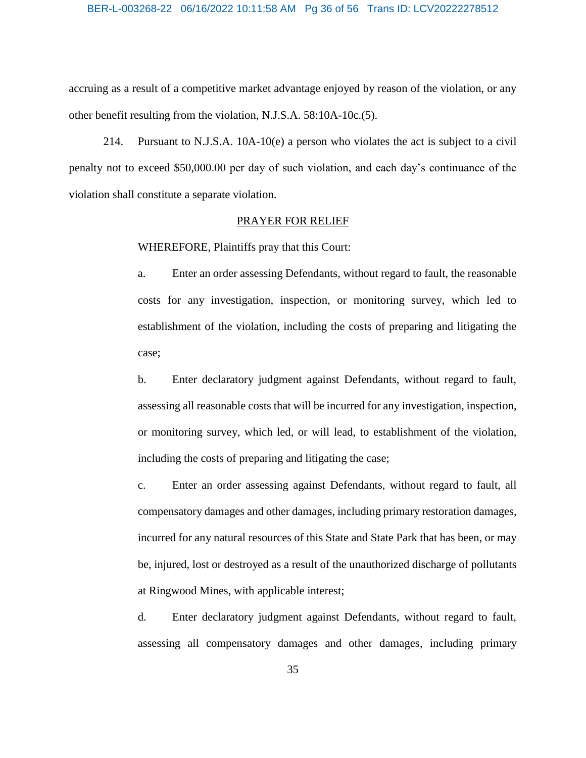#### BER-L-003268-22 06/16/2022 10:11:58 AM Pg 36 of 56 Trans ID: LCV20222278512

accruing as a result of a competitive market advantage enjoyed by reason of the violation, or any other benefit resulting from the violation, N.J.S.A. 58:10A-10c.(5).

214. Pursuant to N.J.S.A. 10A-10(e) a person who violates the act is subject to a civil penalty not to exceed \$50,000.00 per day of such violation, and each day's continuance of the violation shall constitute a separate violation.

#### PRAYER FOR RELIEF

WHEREFORE, Plaintiffs pray that this Court:

a. Enter an order assessing Defendants, without regard to fault, the reasonable costs for any investigation, inspection, or monitoring survey, which led to establishment of the violation, including the costs of preparing and litigating the case;

b. Enter declaratory judgment against Defendants, without regard to fault, assessing all reasonable costs that will be incurred for any investigation, inspection, or monitoring survey, which led, or will lead, to establishment of the violation, including the costs of preparing and litigating the case;

c. Enter an order assessing against Defendants, without regard to fault, all compensatory damages and other damages, including primary restoration damages, incurred for any natural resources of this State and State Park that has been, or may be, injured, lost or destroyed as a result of the unauthorized discharge of pollutants at Ringwood Mines, with applicable interest;

d. Enter declaratory judgment against Defendants, without regard to fault, assessing all compensatory damages and other damages, including primary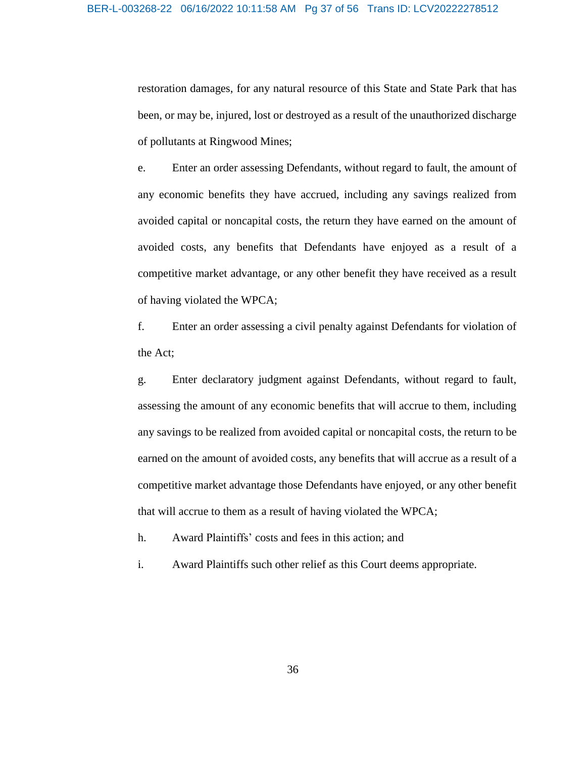restoration damages, for any natural resource of this State and State Park that has been, or may be, injured, lost or destroyed as a result of the unauthorized discharge of pollutants at Ringwood Mines;

e. Enter an order assessing Defendants, without regard to fault, the amount of any economic benefits they have accrued, including any savings realized from avoided capital or noncapital costs, the return they have earned on the amount of avoided costs, any benefits that Defendants have enjoyed as a result of a competitive market advantage, or any other benefit they have received as a result of having violated the WPCA;

f. Enter an order assessing a civil penalty against Defendants for violation of the Act;

g. Enter declaratory judgment against Defendants, without regard to fault, assessing the amount of any economic benefits that will accrue to them, including any savings to be realized from avoided capital or noncapital costs, the return to be earned on the amount of avoided costs, any benefits that will accrue as a result of a competitive market advantage those Defendants have enjoyed, or any other benefit that will accrue to them as a result of having violated the WPCA;

h. Award Plaintiffs' costs and fees in this action; and

i. Award Plaintiffs such other relief as this Court deems appropriate.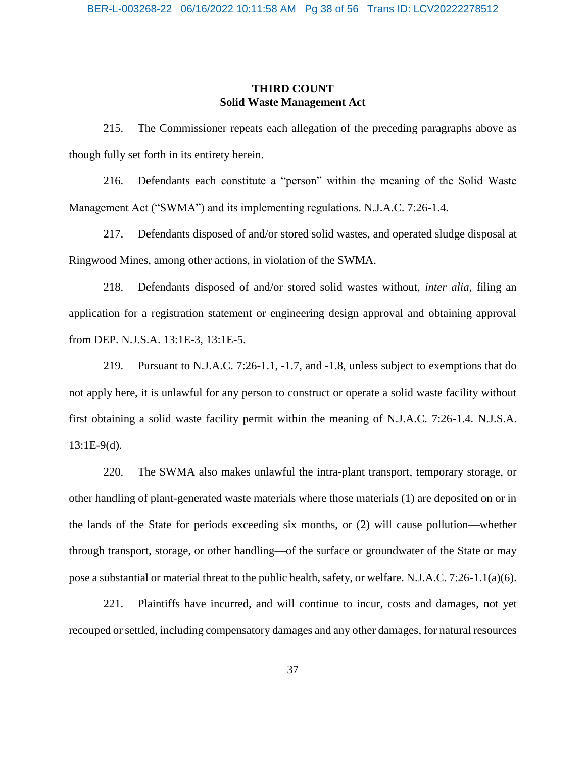## **THIRD COUNT Solid Waste Management Act**

215. The Commissioner repeats each allegation of the preceding paragraphs above as though fully set forth in its entirety herein.

216. Defendants each constitute a "person" within the meaning of the Solid Waste Management Act ("SWMA") and its implementing regulations. N.J.A.C. 7:26-1.4.

217. Defendants disposed of and/or stored solid wastes, and operated sludge disposal at Ringwood Mines, among other actions, in violation of the SWMA.

218. Defendants disposed of and/or stored solid wastes without, *inter alia*, filing an application for a registration statement or engineering design approval and obtaining approval from DEP. N.J.S.A. 13:1E-3, 13:1E-5.

219. Pursuant to N.J.A.C. 7:26-1.1, -1.7, and -1.8, unless subject to exemptions that do not apply here, it is unlawful for any person to construct or operate a solid waste facility without first obtaining a solid waste facility permit within the meaning of N.J.A.C. 7:26-1.4. N.J.S.A.  $13:1E-9(d)$ .

220. The SWMA also makes unlawful the intra-plant transport, temporary storage, or other handling of plant-generated waste materials where those materials (1) are deposited on or in the lands of the State for periods exceeding six months, or (2) will cause pollution—whether through transport, storage, or other handling—of the surface or groundwater of the State or may pose a substantial or material threat to the public health, safety, or welfare. N.J.A.C. 7:26-1.1(a)(6).

221. Plaintiffs have incurred, and will continue to incur, costs and damages, not yet recouped or settled, including compensatory damages and any other damages, for natural resources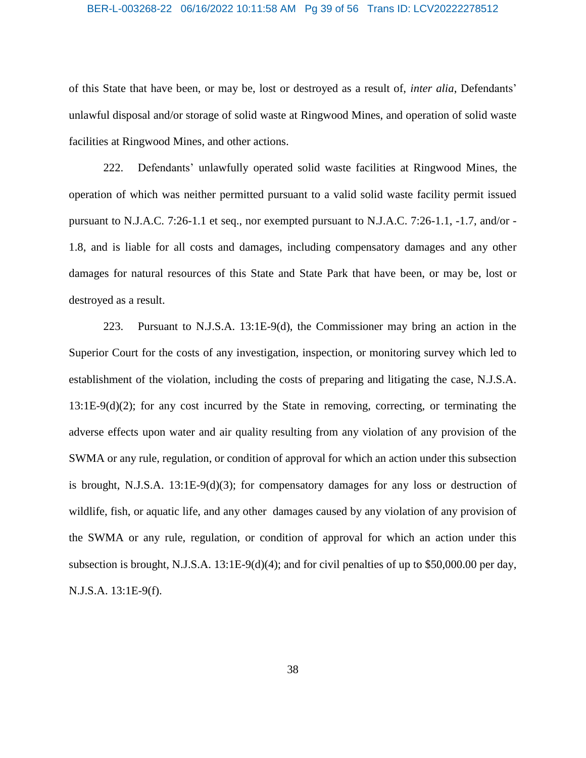#### BER-L-003268-22 06/16/2022 10:11:58 AM Pg 39 of 56 Trans ID: LCV20222278512

of this State that have been, or may be, lost or destroyed as a result of, *inter alia*, Defendants' unlawful disposal and/or storage of solid waste at Ringwood Mines, and operation of solid waste facilities at Ringwood Mines, and other actions.

222. Defendants' unlawfully operated solid waste facilities at Ringwood Mines, the operation of which was neither permitted pursuant to a valid solid waste facility permit issued pursuant to N.J.A.C. 7:26-1.1 et seq., nor exempted pursuant to N.J.A.C. 7:26-1.1, -1.7, and/or - 1.8, and is liable for all costs and damages, including compensatory damages and any other damages for natural resources of this State and State Park that have been, or may be, lost or destroyed as a result.

223. Pursuant to N.J.S.A. 13:1E-9(d), the Commissioner may bring an action in the Superior Court for the costs of any investigation, inspection, or monitoring survey which led to establishment of the violation, including the costs of preparing and litigating the case, N.J.S.A. 13:1E-9(d)(2); for any cost incurred by the State in removing, correcting, or terminating the adverse effects upon water and air quality resulting from any violation of any provision of the SWMA or any rule, regulation, or condition of approval for which an action under this subsection is brought, N.J.S.A.  $13:1E-9(d)(3)$ ; for compensatory damages for any loss or destruction of wildlife, fish, or aquatic life, and any other damages caused by any violation of any provision of the SWMA or any rule, regulation, or condition of approval for which an action under this subsection is brought, N.J.S.A. 13:1E-9(d)(4); and for civil penalties of up to \$50,000.00 per day, N.J.S.A. 13:1E-9(f).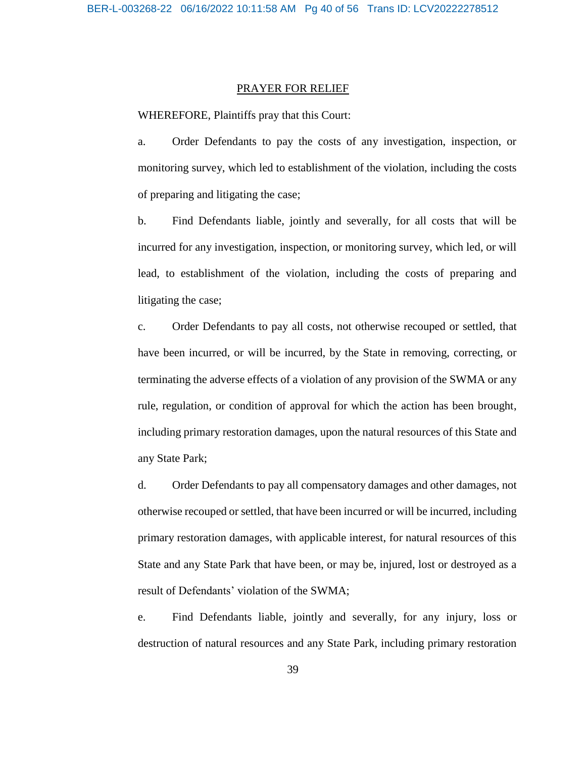#### PRAYER FOR RELIEF

WHEREFORE, Plaintiffs pray that this Court:

a. Order Defendants to pay the costs of any investigation, inspection, or monitoring survey, which led to establishment of the violation, including the costs of preparing and litigating the case;

b. Find Defendants liable, jointly and severally, for all costs that will be incurred for any investigation, inspection, or monitoring survey, which led, or will lead, to establishment of the violation, including the costs of preparing and litigating the case;

c. Order Defendants to pay all costs, not otherwise recouped or settled, that have been incurred, or will be incurred, by the State in removing, correcting, or terminating the adverse effects of a violation of any provision of the SWMA or any rule, regulation, or condition of approval for which the action has been brought, including primary restoration damages, upon the natural resources of this State and any State Park;

d. Order Defendants to pay all compensatory damages and other damages, not otherwise recouped or settled, that have been incurred or will be incurred, including primary restoration damages, with applicable interest, for natural resources of this State and any State Park that have been, or may be, injured, lost or destroyed as a result of Defendants' violation of the SWMA;

e. Find Defendants liable, jointly and severally, for any injury, loss or destruction of natural resources and any State Park, including primary restoration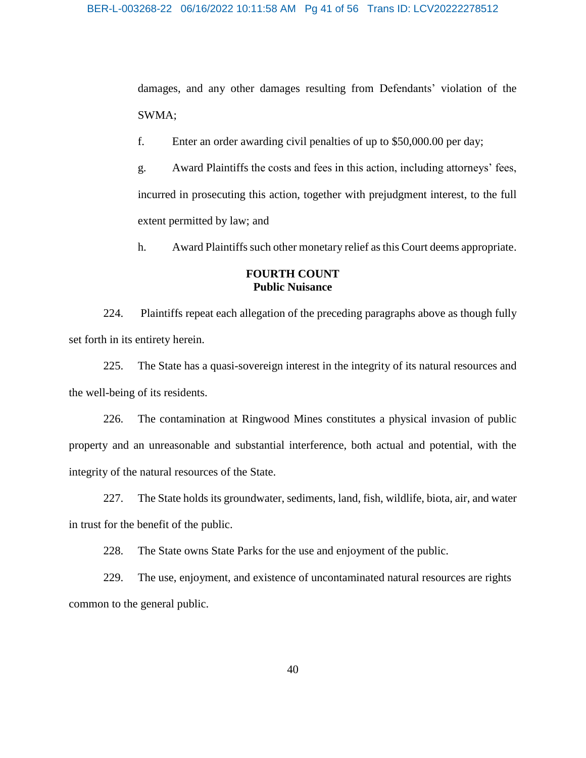damages, and any other damages resulting from Defendants' violation of the SWMA;

f. Enter an order awarding civil penalties of up to \$50,000.00 per day;

g. Award Plaintiffs the costs and fees in this action, including attorneys' fees, incurred in prosecuting this action, together with prejudgment interest, to the full extent permitted by law; and

h. Award Plaintiffs such other monetary relief as this Court deems appropriate.

## **FOURTH COUNT Public Nuisance**

224. Plaintiffs repeat each allegation of the preceding paragraphs above as though fully set forth in its entirety herein.

225. The State has a quasi-sovereign interest in the integrity of its natural resources and the well-being of its residents.

226. The contamination at Ringwood Mines constitutes a physical invasion of public property and an unreasonable and substantial interference, both actual and potential, with the integrity of the natural resources of the State.

227. The State holds its groundwater, sediments, land, fish, wildlife, biota, air, and water in trust for the benefit of the public.

228. The State owns State Parks for the use and enjoyment of the public.

229. The use, enjoyment, and existence of uncontaminated natural resources are rights common to the general public.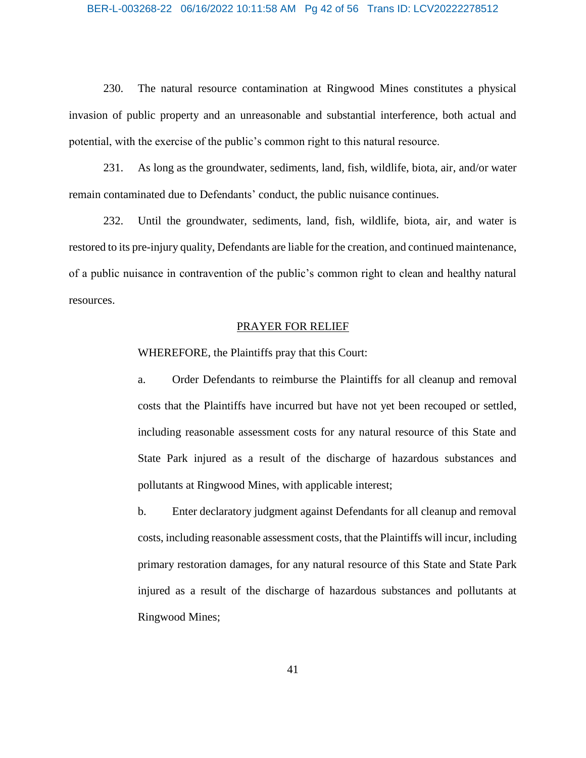#### BER-L-003268-22 06/16/2022 10:11:58 AM Pg 42 of 56 Trans ID: LCV20222278512

230. The natural resource contamination at Ringwood Mines constitutes a physical invasion of public property and an unreasonable and substantial interference, both actual and potential, with the exercise of the public's common right to this natural resource.

231. As long as the groundwater, sediments, land, fish, wildlife, biota, air, and/or water remain contaminated due to Defendants' conduct, the public nuisance continues.

232. Until the groundwater, sediments, land, fish, wildlife, biota, air, and water is restored to its pre-injury quality, Defendants are liable for the creation, and continued maintenance, of a public nuisance in contravention of the public's common right to clean and healthy natural resources.

#### PRAYER FOR RELIEF

WHEREFORE, the Plaintiffs pray that this Court:

a. Order Defendants to reimburse the Plaintiffs for all cleanup and removal costs that the Plaintiffs have incurred but have not yet been recouped or settled, including reasonable assessment costs for any natural resource of this State and State Park injured as a result of the discharge of hazardous substances and pollutants at Ringwood Mines, with applicable interest;

b. Enter declaratory judgment against Defendants for all cleanup and removal costs, including reasonable assessment costs, that the Plaintiffs will incur, including primary restoration damages, for any natural resource of this State and State Park injured as a result of the discharge of hazardous substances and pollutants at Ringwood Mines;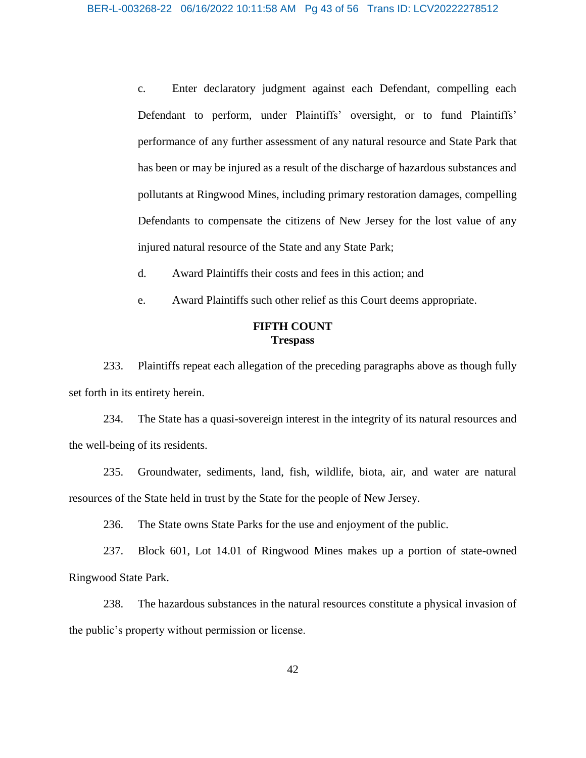c. Enter declaratory judgment against each Defendant, compelling each Defendant to perform, under Plaintiffs' oversight, or to fund Plaintiffs' performance of any further assessment of any natural resource and State Park that has been or may be injured as a result of the discharge of hazardous substances and pollutants at Ringwood Mines, including primary restoration damages, compelling Defendants to compensate the citizens of New Jersey for the lost value of any injured natural resource of the State and any State Park;

d. Award Plaintiffs their costs and fees in this action; and

e. Award Plaintiffs such other relief as this Court deems appropriate.

## **FIFTH COUNT Trespass**

233. Plaintiffs repeat each allegation of the preceding paragraphs above as though fully set forth in its entirety herein.

234. The State has a quasi-sovereign interest in the integrity of its natural resources and the well-being of its residents.

235. Groundwater, sediments, land, fish, wildlife, biota, air, and water are natural resources of the State held in trust by the State for the people of New Jersey.

236. The State owns State Parks for the use and enjoyment of the public.

237. Block 601, Lot 14.01 of Ringwood Mines makes up a portion of state-owned Ringwood State Park.

238. The hazardous substances in the natural resources constitute a physical invasion of the public's property without permission or license.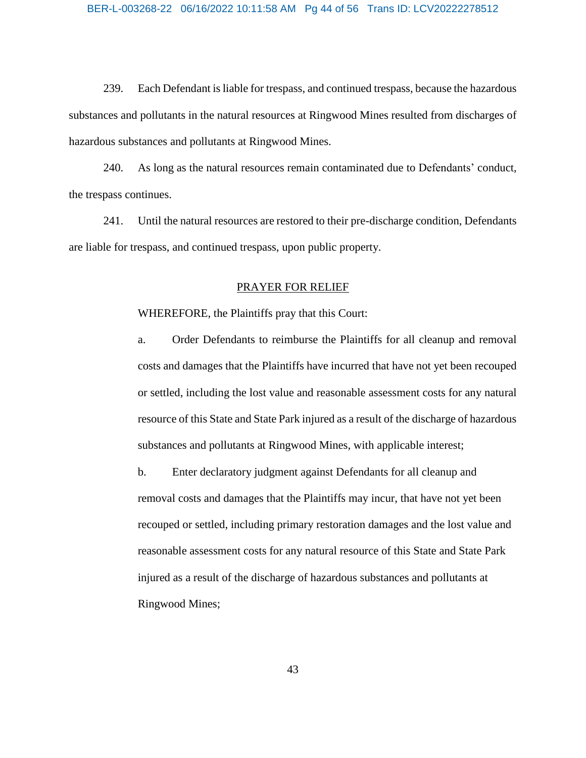239. Each Defendant is liable for trespass, and continued trespass, because the hazardous substances and pollutants in the natural resources at Ringwood Mines resulted from discharges of hazardous substances and pollutants at Ringwood Mines.

240. As long as the natural resources remain contaminated due to Defendants' conduct, the trespass continues.

241. Until the natural resources are restored to their pre-discharge condition, Defendants are liable for trespass, and continued trespass, upon public property.

#### PRAYER FOR RELIEF

WHEREFORE, the Plaintiffs pray that this Court:

a. Order Defendants to reimburse the Plaintiffs for all cleanup and removal costs and damages that the Plaintiffs have incurred that have not yet been recouped or settled, including the lost value and reasonable assessment costs for any natural resource of this State and State Park injured as a result of the discharge of hazardous substances and pollutants at Ringwood Mines, with applicable interest;

b. Enter declaratory judgment against Defendants for all cleanup and removal costs and damages that the Plaintiffs may incur, that have not yet been recouped or settled, including primary restoration damages and the lost value and reasonable assessment costs for any natural resource of this State and State Park injured as a result of the discharge of hazardous substances and pollutants at Ringwood Mines;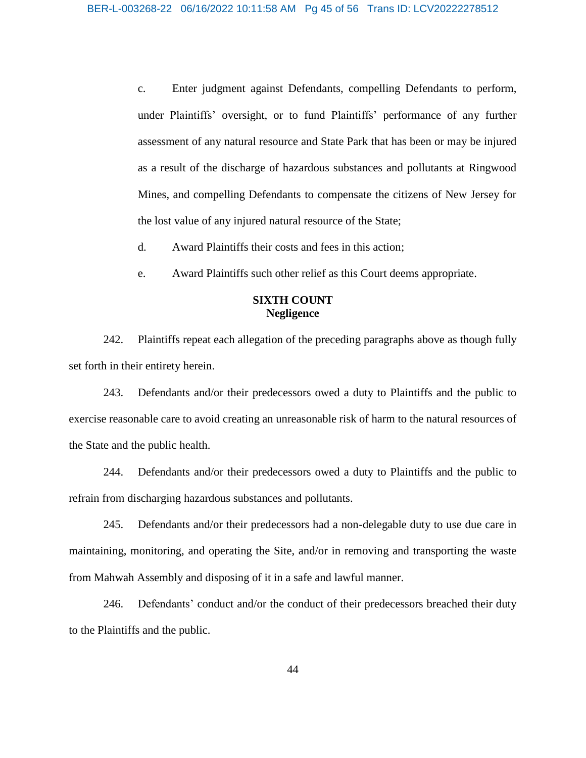c. Enter judgment against Defendants, compelling Defendants to perform, under Plaintiffs' oversight, or to fund Plaintiffs' performance of any further assessment of any natural resource and State Park that has been or may be injured as a result of the discharge of hazardous substances and pollutants at Ringwood Mines, and compelling Defendants to compensate the citizens of New Jersey for the lost value of any injured natural resource of the State;

d. Award Plaintiffs their costs and fees in this action;

e. Award Plaintiffs such other relief as this Court deems appropriate.

## **SIXTH COUNT Negligence**

242. Plaintiffs repeat each allegation of the preceding paragraphs above as though fully set forth in their entirety herein.

243. Defendants and/or their predecessors owed a duty to Plaintiffs and the public to exercise reasonable care to avoid creating an unreasonable risk of harm to the natural resources of the State and the public health.

244. Defendants and/or their predecessors owed a duty to Plaintiffs and the public to refrain from discharging hazardous substances and pollutants.

245. Defendants and/or their predecessors had a non-delegable duty to use due care in maintaining, monitoring, and operating the Site, and/or in removing and transporting the waste from Mahwah Assembly and disposing of it in a safe and lawful manner.

246. Defendants' conduct and/or the conduct of their predecessors breached their duty to the Plaintiffs and the public.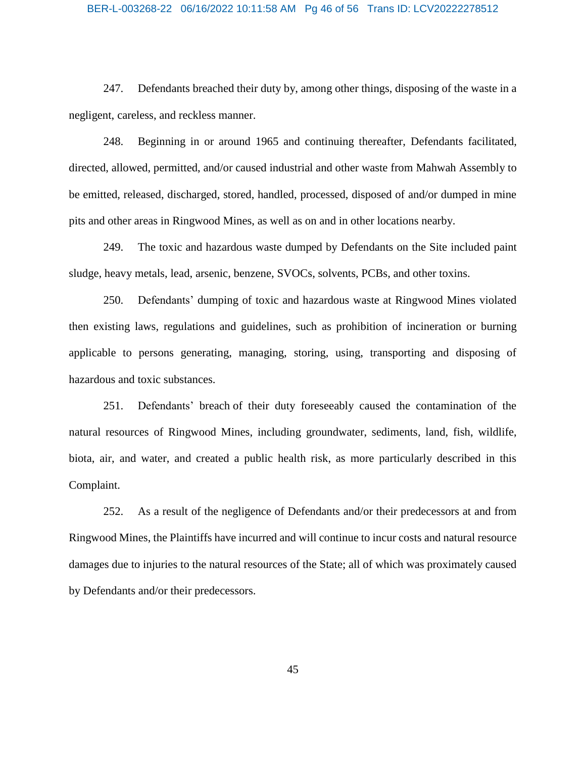#### BER-L-003268-22 06/16/2022 10:11:58 AM Pg 46 of 56 Trans ID: LCV20222278512

247. Defendants breached their duty by, among other things, disposing of the waste in a negligent, careless, and reckless manner.

248. Beginning in or around 1965 and continuing thereafter, Defendants facilitated, directed, allowed, permitted, and/or caused industrial and other waste from Mahwah Assembly to be emitted, released, discharged, stored, handled, processed, disposed of and/or dumped in mine pits and other areas in Ringwood Mines, as well as on and in other locations nearby.

249. The toxic and hazardous waste dumped by Defendants on the Site included paint sludge, heavy metals, lead, arsenic, benzene, SVOCs, solvents, PCBs, and other toxins.

250. Defendants' dumping of toxic and hazardous waste at Ringwood Mines violated then existing laws, regulations and guidelines, such as prohibition of incineration or burning applicable to persons generating, managing, storing, using, transporting and disposing of hazardous and toxic substances.

251. Defendants' breach of their duty foreseeably caused the contamination of the natural resources of Ringwood Mines, including groundwater, sediments, land, fish, wildlife, biota, air, and water, and created a public health risk, as more particularly described in this Complaint.

252. As a result of the negligence of Defendants and/or their predecessors at and from Ringwood Mines, the Plaintiffs have incurred and will continue to incur costs and natural resource damages due to injuries to the natural resources of the State; all of which was proximately caused by Defendants and/or their predecessors.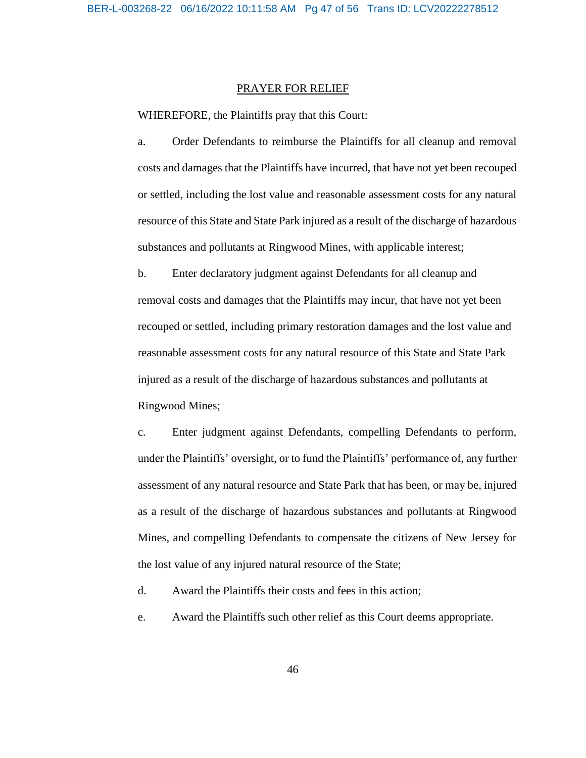#### PRAYER FOR RELIEF

WHEREFORE, the Plaintiffs pray that this Court:

a. Order Defendants to reimburse the Plaintiffs for all cleanup and removal costs and damages that the Plaintiffs have incurred, that have not yet been recouped or settled, including the lost value and reasonable assessment costs for any natural resource of this State and State Park injured as a result of the discharge of hazardous substances and pollutants at Ringwood Mines, with applicable interest;

b. Enter declaratory judgment against Defendants for all cleanup and removal costs and damages that the Plaintiffs may incur, that have not yet been recouped or settled, including primary restoration damages and the lost value and reasonable assessment costs for any natural resource of this State and State Park injured as a result of the discharge of hazardous substances and pollutants at Ringwood Mines;

c. Enter judgment against Defendants, compelling Defendants to perform, under the Plaintiffs' oversight, or to fund the Plaintiffs' performance of, any further assessment of any natural resource and State Park that has been, or may be, injured as a result of the discharge of hazardous substances and pollutants at Ringwood Mines, and compelling Defendants to compensate the citizens of New Jersey for the lost value of any injured natural resource of the State;

d. Award the Plaintiffs their costs and fees in this action;

e. Award the Plaintiffs such other relief as this Court deems appropriate.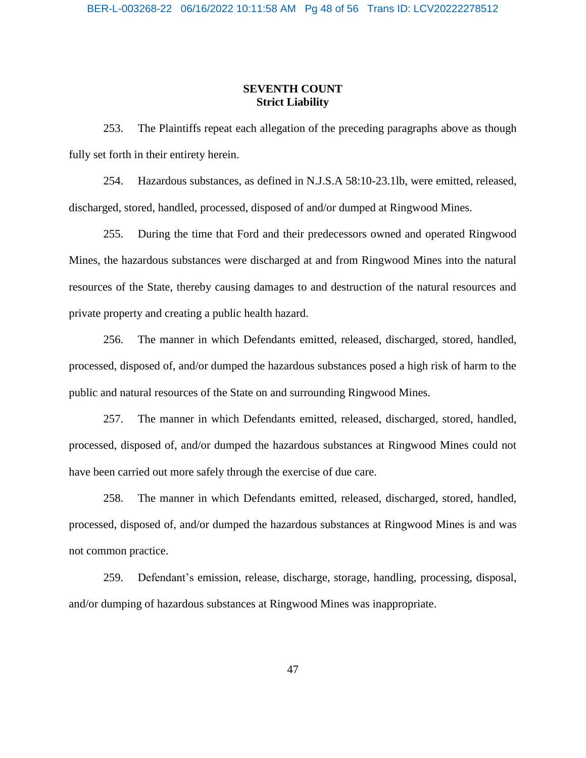## **SEVENTH COUNT Strict Liability**

253. The Plaintiffs repeat each allegation of the preceding paragraphs above as though fully set forth in their entirety herein.

254. Hazardous substances, as defined in N.J.S.A 58:10-23.1lb, were emitted, released, discharged, stored, handled, processed, disposed of and/or dumped at Ringwood Mines.

255. During the time that Ford and their predecessors owned and operated Ringwood Mines, the hazardous substances were discharged at and from Ringwood Mines into the natural resources of the State, thereby causing damages to and destruction of the natural resources and private property and creating a public health hazard.

256. The manner in which Defendants emitted, released, discharged, stored, handled, processed, disposed of, and/or dumped the hazardous substances posed a high risk of harm to the public and natural resources of the State on and surrounding Ringwood Mines.

257. The manner in which Defendants emitted, released, discharged, stored, handled, processed, disposed of, and/or dumped the hazardous substances at Ringwood Mines could not have been carried out more safely through the exercise of due care.

258. The manner in which Defendants emitted, released, discharged, stored, handled, processed, disposed of, and/or dumped the hazardous substances at Ringwood Mines is and was not common practice.

259. Defendant's emission, release, discharge, storage, handling, processing, disposal, and/or dumping of hazardous substances at Ringwood Mines was inappropriate.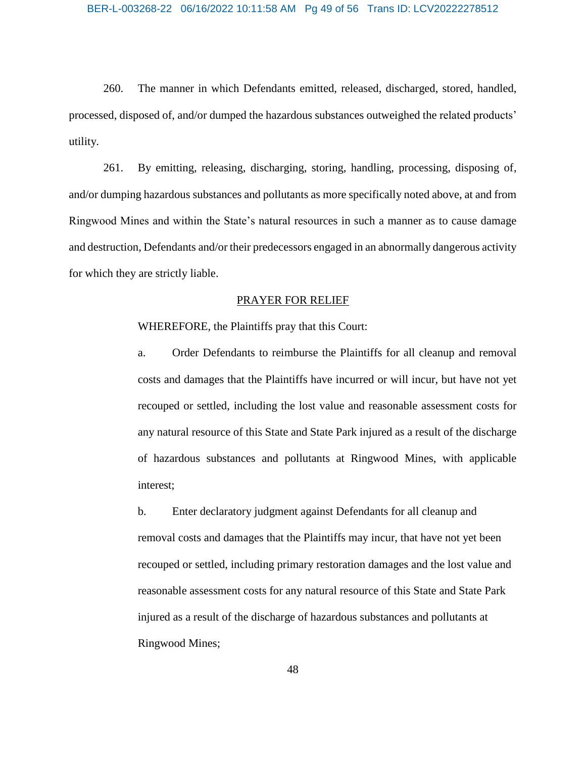260. The manner in which Defendants emitted, released, discharged, stored, handled, processed, disposed of, and/or dumped the hazardous substances outweighed the related products' utility.

261. By emitting, releasing, discharging, storing, handling, processing, disposing of, and/or dumping hazardous substances and pollutants as more specifically noted above, at and from Ringwood Mines and within the State's natural resources in such a manner as to cause damage and destruction, Defendants and/or their predecessors engaged in an abnormally dangerous activity for which they are strictly liable.

## PRAYER FOR RELIEF

## WHEREFORE, the Plaintiffs pray that this Court:

a. Order Defendants to reimburse the Plaintiffs for all cleanup and removal costs and damages that the Plaintiffs have incurred or will incur, but have not yet recouped or settled, including the lost value and reasonable assessment costs for any natural resource of this State and State Park injured as a result of the discharge of hazardous substances and pollutants at Ringwood Mines, with applicable interest;

b. Enter declaratory judgment against Defendants for all cleanup and removal costs and damages that the Plaintiffs may incur, that have not yet been recouped or settled, including primary restoration damages and the lost value and reasonable assessment costs for any natural resource of this State and State Park injured as a result of the discharge of hazardous substances and pollutants at Ringwood Mines;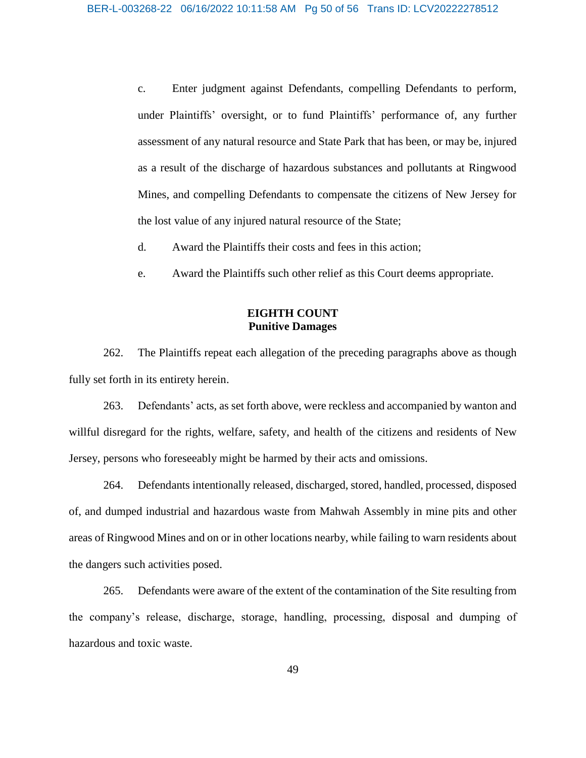c. Enter judgment against Defendants, compelling Defendants to perform, under Plaintiffs' oversight, or to fund Plaintiffs' performance of, any further assessment of any natural resource and State Park that has been, or may be, injured as a result of the discharge of hazardous substances and pollutants at Ringwood Mines, and compelling Defendants to compensate the citizens of New Jersey for the lost value of any injured natural resource of the State;

- d. Award the Plaintiffs their costs and fees in this action;
- e. Award the Plaintiffs such other relief as this Court deems appropriate.

## **EIGHTH COUNT Punitive Damages**

262. The Plaintiffs repeat each allegation of the preceding paragraphs above as though fully set forth in its entirety herein.

263. Defendants' acts, as set forth above, were reckless and accompanied by wanton and willful disregard for the rights, welfare, safety, and health of the citizens and residents of New Jersey, persons who foreseeably might be harmed by their acts and omissions.

264. Defendants intentionally released, discharged, stored, handled, processed, disposed of, and dumped industrial and hazardous waste from Mahwah Assembly in mine pits and other areas of Ringwood Mines and on or in other locations nearby, while failing to warn residents about the dangers such activities posed.

265. Defendants were aware of the extent of the contamination of the Site resulting from the company's release, discharge, storage, handling, processing, disposal and dumping of hazardous and toxic waste.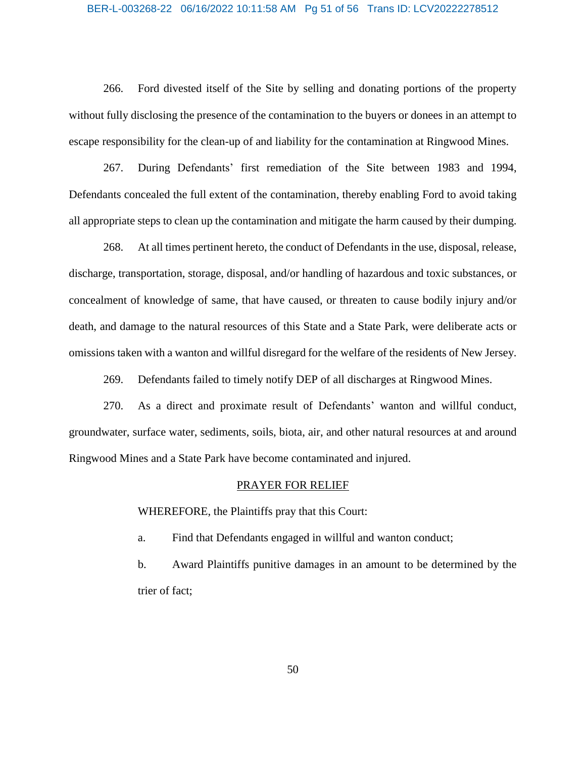#### BER-L-003268-22 06/16/2022 10:11:58 AM Pg 51 of 56 Trans ID: LCV20222278512

266. Ford divested itself of the Site by selling and donating portions of the property without fully disclosing the presence of the contamination to the buyers or donees in an attempt to escape responsibility for the clean-up of and liability for the contamination at Ringwood Mines.

267. During Defendants' first remediation of the Site between 1983 and 1994, Defendants concealed the full extent of the contamination, thereby enabling Ford to avoid taking all appropriate steps to clean up the contamination and mitigate the harm caused by their dumping.

268. At all times pertinent hereto, the conduct of Defendants in the use, disposal, release, discharge, transportation, storage, disposal, and/or handling of hazardous and toxic substances, or concealment of knowledge of same, that have caused, or threaten to cause bodily injury and/or death, and damage to the natural resources of this State and a State Park, were deliberate acts or omissions taken with a wanton and willful disregard for the welfare of the residents of New Jersey.

269. Defendants failed to timely notify DEP of all discharges at Ringwood Mines.

270. As a direct and proximate result of Defendants' wanton and willful conduct, groundwater, surface water, sediments, soils, biota, air, and other natural resources at and around Ringwood Mines and a State Park have become contaminated and injured.

#### PRAYER FOR RELIEF

WHEREFORE, the Plaintiffs pray that this Court:

a. Find that Defendants engaged in willful and wanton conduct;

b. Award Plaintiffs punitive damages in an amount to be determined by the trier of fact;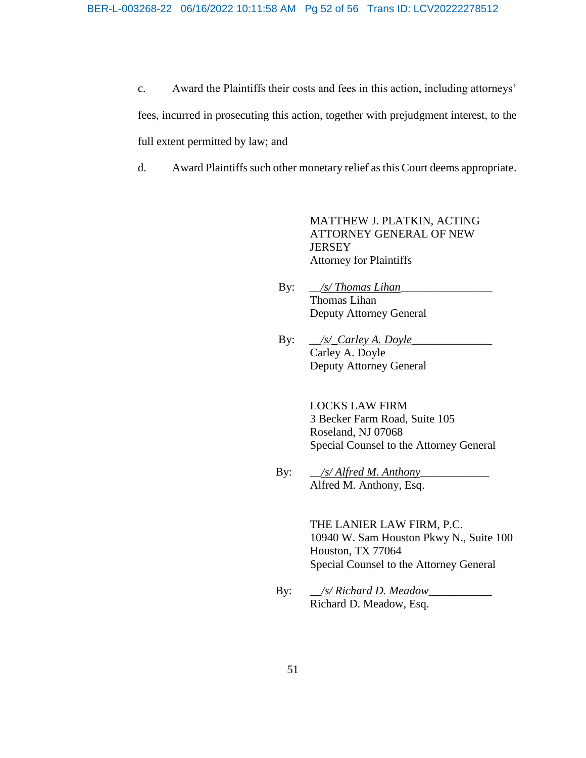c. Award the Plaintiffs their costs and fees in this action, including attorneys' fees, incurred in prosecuting this action, together with prejudgment interest, to the full extent permitted by law; and

d. Award Plaintiffs such other monetary relief as this Court deems appropriate.

MATTHEW J. PLATKIN, ACTING ATTORNEY GENERAL OF NEW **JERSEY** Attorney for Plaintiffs

- By:  $\sqrt{s}$  *Thomas Lihan* Thomas Lihan Deputy Attorney General
- By: \_\_*/s/\_Carley A. Doyle*\_\_\_\_\_\_\_\_\_\_\_\_\_\_ Carley A. Doyle Deputy Attorney General

LOCKS LAW FIRM 3 Becker Farm Road, Suite 105 Roseland, NJ 07068 Special Counsel to the Attorney General

By: *\_\_/s/ Alfred M. Anthony* Alfred M. Anthony, Esq.

> THE LANIER LAW FIRM, P.C. 10940 W. Sam Houston Pkwy N., Suite 100 Houston, TX 77064 Special Counsel to the Attorney General

By: \_\_*/s/ Richard D. Meadow*\_\_\_\_\_\_\_\_\_\_\_ Richard D. Meadow, Esq.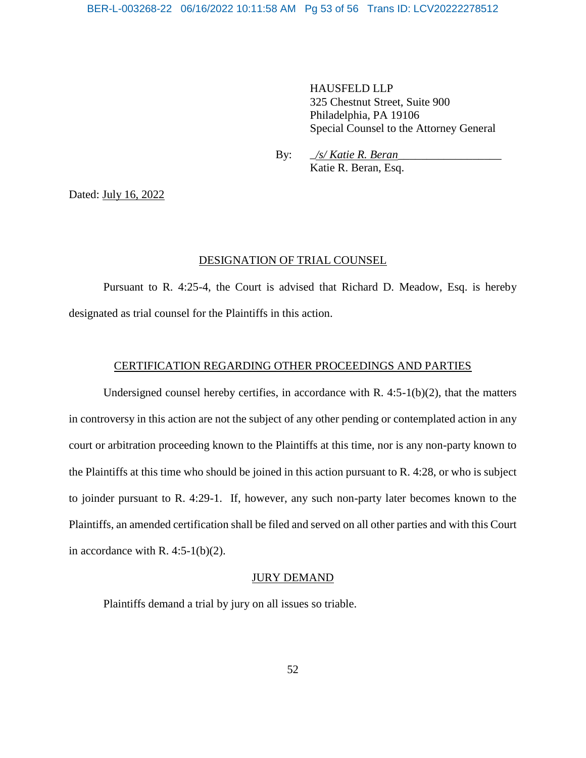HAUSFELD LLP 325 Chestnut Street, Suite 900 Philadelphia, PA 19106 Special Counsel to the Attorney General

By: \_*/s/ Katie R. Beran*\_\_\_\_\_\_\_\_\_\_\_\_\_\_\_\_\_\_ Katie R. Beran, Esq.

Dated: July 16, 2022

#### DESIGNATION OF TRIAL COUNSEL

Pursuant to R. 4:25-4, the Court is advised that Richard D. Meadow, Esq. is hereby designated as trial counsel for the Plaintiffs in this action.

#### CERTIFICATION REGARDING OTHER PROCEEDINGS AND PARTIES

Undersigned counsel hereby certifies, in accordance with  $R. 4:5-1(b)(2)$ , that the matters in controversy in this action are not the subject of any other pending or contemplated action in any court or arbitration proceeding known to the Plaintiffs at this time, nor is any non-party known to the Plaintiffs at this time who should be joined in this action pursuant to R. 4:28, or who is subject to joinder pursuant to R. 4:29-1. If, however, any such non-party later becomes known to the Plaintiffs, an amended certification shall be filed and served on all other parties and with this Court in accordance with R. 4:5-1(b)(2).

#### JURY DEMAND

Plaintiffs demand a trial by jury on all issues so triable.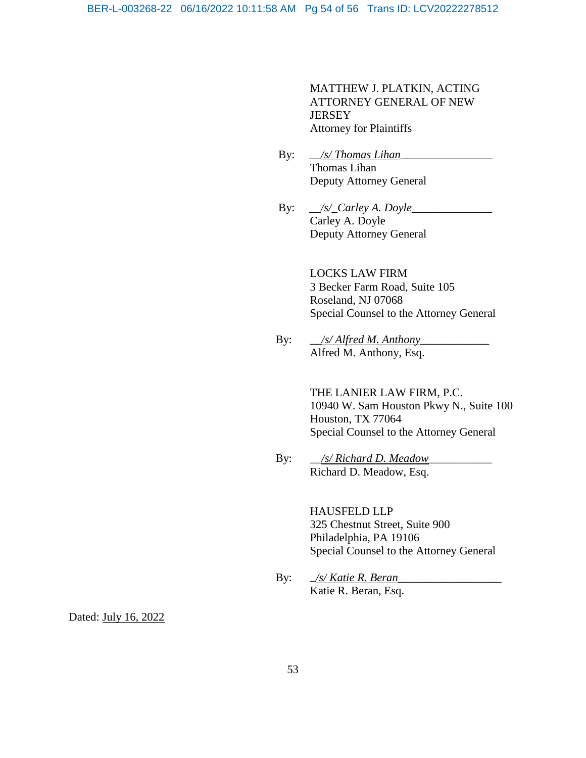MATTHEW J. PLATKIN, ACTING ATTORNEY GENERAL OF NEW JERSEY Attorney for Plaintiffs

- By:  $\angle$ *s/ Thomas Lihan* Thomas Lihan Deputy Attorney General
- By: <u>/s/\_Carley A. Doyle</u> Carley A. Doyle Deputy Attorney General

LOCKS LAW FIRM 3 Becker Farm Road, Suite 105 Roseland, NJ 07068 Special Counsel to the Attorney General

 By: \_\_*/s/ Alfred M. Anthony*\_\_\_\_\_\_\_\_\_\_\_\_ Alfred M. Anthony, Esq.

> THE LANIER LAW FIRM, P.C. 10940 W. Sam Houston Pkwy N., Suite 100 Houston, TX 77064 Special Counsel to the Attorney General

By: \_\_*/s/ Richard D. Meadow*\_\_\_\_\_\_\_\_\_\_\_ Richard D. Meadow, Esq.

> HAUSFELD LLP 325 Chestnut Street, Suite 900 Philadelphia, PA 19106 Special Counsel to the Attorney General

By:  $\frac{f_S}{K}$  *<u>/s/ Katie R. Beran</u>* Katie R. Beran, Esq.

Dated: July 16, 2022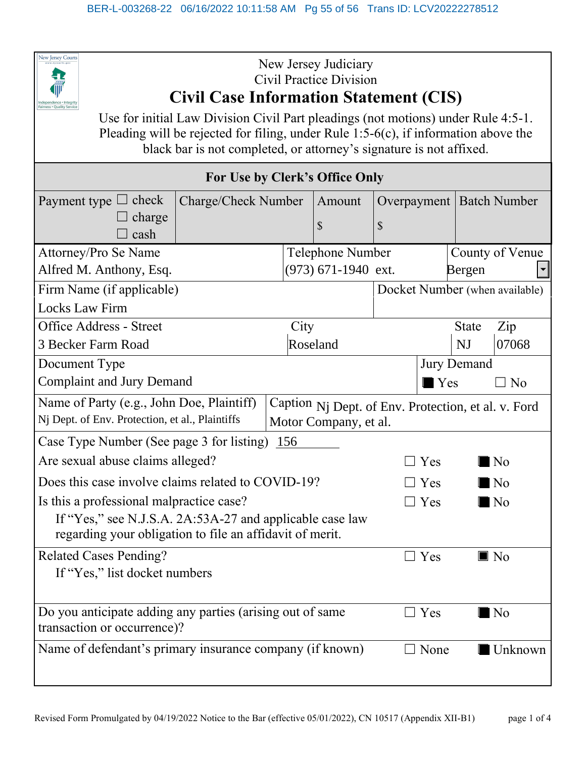

## New Jersey Judiciary Civil Practice Division **Civil Case Information Statement (CIS)**

Use for initial Law Division Civil Part pleadings (not motions) under Rule 4:5-1. Pleading will be rejected for filing, under Rule 1:5-6(c), if information above the black bar is not completed, or attorney's signature is not affixed.

| For Use by Clerk's Office Only                                                                   |                       |        |    |                                |              |                            |  |  |
|--------------------------------------------------------------------------------------------------|-----------------------|--------|----|--------------------------------|--------------|----------------------------|--|--|
| Payment type $\Box$ check<br>Charge/Check Number                                                 |                       | Amount |    |                                |              | Overpayment   Batch Number |  |  |
| $\Box$ charge                                                                                    |                       | \$     | \$ |                                |              |                            |  |  |
| cash                                                                                             |                       |        |    |                                |              |                            |  |  |
| Attorney/Pro Se Name                                                                             | Telephone Number      |        |    |                                |              | County of Venue            |  |  |
| Alfred M. Anthony, Esq.                                                                          | $(973)$ 671-1940 ext. |        |    |                                | Bergen       |                            |  |  |
| Firm Name (if applicable)                                                                        |                       |        |    | Docket Number (when available) |              |                            |  |  |
| <b>Locks Law Firm</b>                                                                            |                       |        |    |                                |              |                            |  |  |
| <b>Office Address - Street</b>                                                                   | City                  |        |    |                                | <b>State</b> | Zip                        |  |  |
| 3 Becker Farm Road                                                                               | Roseland              |        |    |                                | NJ           | 07068                      |  |  |
| Document Type                                                                                    |                       |        |    | <b>Jury Demand</b>             |              |                            |  |  |
| <b>Complaint and Jury Demand</b>                                                                 |                       |        |    | $\blacksquare$ Yes             |              | $\Box$ No                  |  |  |
| Name of Party (e.g., John Doe, Plaintiff)<br>Caption Nj Dept. of Env. Protection, et al. v. Ford |                       |        |    |                                |              |                            |  |  |
| Nj Dept. of Env. Protection, et al., Plaintiffs<br>Motor Company, et al.                         |                       |        |    |                                |              |                            |  |  |
| Case Type Number (See page 3 for listing)<br>156                                                 |                       |        |    |                                |              |                            |  |  |
| Are sexual abuse claims alleged?                                                                 |                       |        |    | $\Box$ Yes                     |              | N <sub>0</sub>             |  |  |
| Does this case involve claims related to COVID-19?                                               |                       |        |    | $\Box$ Yes                     |              | N <sub>0</sub>             |  |  |
| Is this a professional malpractice case?                                                         |                       |        |    | $\exists$ Yes                  |              | $\blacksquare$ No          |  |  |
| If "Yes," see N.J.S.A. 2A:53A-27 and applicable case law                                         |                       |        |    |                                |              |                            |  |  |
| regarding your obligation to file an affidavit of merit.                                         |                       |        |    |                                |              |                            |  |  |
| <b>Related Cases Pending?</b>                                                                    |                       |        |    | $\Box$ Yes                     |              | $\blacksquare$ No          |  |  |
| If "Yes," list docket numbers                                                                    |                       |        |    |                                |              |                            |  |  |
|                                                                                                  |                       |        |    |                                |              |                            |  |  |
| Do you anticipate adding any parties (arising out of same                                        |                       |        |    | $\Box$ Yes                     |              | $\blacksquare$ No          |  |  |
| transaction or occurrence)?                                                                      |                       |        |    |                                |              |                            |  |  |
| Name of defendant's primary insurance company (if known)                                         |                       |        |    | $\Box$ None                    |              | Unknown                    |  |  |
|                                                                                                  |                       |        |    |                                |              |                            |  |  |